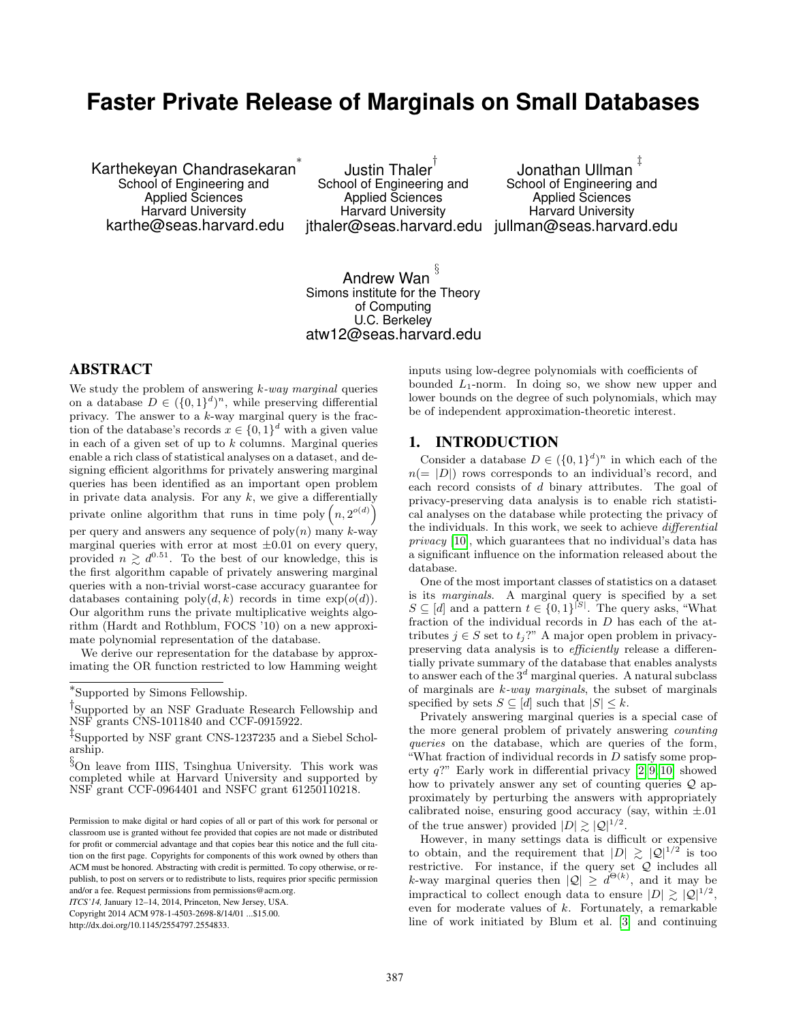# **Faster Private Release of Marginals on Small Databases**

Karthekeyan Chandrasekaran ∗ School of Engineering and Applied Sciences Harvard University karthe@seas.harvard.edu

Justin Thaler $^\dagger$ School of Engineering and Applied Sciences Harvard University jthaler@seas.harvard.edu jullman@seas.harvard.edu

Jonathan Ullman ‡ School of Engineering and Applied Sciences Harvard University

# Andrew Wan  $^{\S}$ Simons institute for the Theory of Computing U.C. Berkeley atw12@seas.harvard.edu

# ABSTRACT

We study the problem of answering  $k$ -way marginal queries on a database  $D \in (\{0,1\}^d)^n$ , while preserving differential privacy. The answer to a k-way marginal query is the fraction of the database's records  $x \in \{0,1\}^d$  with a given value in each of a given set of up to  $k$  columns. Marginal queries enable a rich class of statistical analyses on a dataset, and designing efficient algorithms for privately answering marginal queries has been identified as an important open problem in private data analysis. For any  $k$ , we give a differentially private online algorithm that runs in time poly  $(n, 2^{o(d)})$ per query and answers any sequence of  $poly(n)$  many k-way marginal queries with error at most  $\pm 0.01$  on every query, provided  $n \geq d^{0.51}$ . To the best of our knowledge, this is the first algorithm capable of privately answering marginal queries with a non-trivial worst-case accuracy guarantee for databases containing  $\text{poly}(d, k)$  records in time  $\exp(o(d))$ . Our algorithm runs the private multiplicative weights algorithm (Hardt and Rothblum, FOCS '10) on a new approximate polynomial representation of the database.

We derive our representation for the database by approximating the OR function restricted to low Hamming weight

*ITCS'14,* January 12–14, 2014, Princeton, New Jersey, USA. Copyright 2014 ACM 978-1-4503-2698-8/14/01 ...\$15.00.

http://dx.doi.org/10.1145/2554797.2554833.

inputs using low-degree polynomials with coefficients of bounded  $L_1$ -norm. In doing so, we show new upper and lower bounds on the degree of such polynomials, which may be of independent approximation-theoretic interest.

### 1. INTRODUCTION

Consider a database  $D \in (\{0,1\}^d)^n$  in which each of the  $n(= |D|)$  rows corresponds to an individual's record, and each record consists of d binary attributes. The goal of privacy-preserving data analysis is to enable rich statistical analyses on the database while protecting the privacy of the individuals. In this work, we seek to achieve differential privacy [\[10\]](#page-13-0), which guarantees that no individual's data has a significant influence on the information released about the database.

One of the most important classes of statistics on a dataset is its marginals. A marginal query is specified by a set  $S \subseteq [d]$  and a pattern  $t \in \{0,1\}^{[S]}$ . The query asks, "What fraction of the individual records in D has each of the attributes  $j \in S$  set to  $t_j$ ?" A major open problem in privacypreserving data analysis is to efficiently release a differentially private summary of the database that enables analysts to answer each of the  $3<sup>d</sup>$  marginal queries. A natural subclass of marginals are  $k$ -way marginals, the subset of marginals specified by sets  $S \subseteq [d]$  such that  $|S| \leq k$ .

Privately answering marginal queries is a special case of the more general problem of privately answering counting queries on the database, which are queries of the form, "What fraction of individual records in  $D$  satisfy some property  $q$ ?" Early work in differential privacy [\[2,](#page-13-1) [9,](#page-13-2) [10\]](#page-13-0) showed how to privately answer any set of counting queries  $\mathcal{Q}$  approximately by perturbing the answers with appropriately calibrated noise, ensuring good accuracy (say, within  $\pm .01$ ) of the true answer) provided  $|D| \gtrsim |\mathcal{Q}|^{1/2}$ .

However, in many settings data is difficult or expensive to obtain, and the requirement that  $|D| \geq |Q|^{1/2}$  is too restrictive. For instance, if the query set Q includes all k-way marginal queries then  $|Q| \geq d^{\Theta(k)}$ , and it may be impractical to collect enough data to ensure  $|D| \gtrsim |\mathcal{Q}|^{1/2}$ , even for moderate values of k. Fortunately, a remarkable line of work initiated by Blum et al. [\[3\]](#page-13-3) and continuing

<sup>∗</sup> Supported by Simons Fellowship.

<sup>†</sup> Supported by an NSF Graduate Research Fellowship and NSF grants CNS-1011840 and CCF-0915922.

<sup>‡</sup> Supported by NSF grant CNS-1237235 and a Siebel Scholarship.

<sup>§</sup>On leave from IIIS, Tsinghua University. This work was completed while at Harvard University and supported by NSF grant CCF-0964401 and NSFC grant 61250110218.

Permission to make digital or hard copies of all or part of this work for personal or classroom use is granted without fee provided that copies are not made or distributed for profit or commercial advantage and that copies bear this notice and the full citation on the first page. Copyrights for components of this work owned by others than ACM must be honored. Abstracting with credit is permitted. To copy otherwise, or republish, to post on servers or to redistribute to lists, requires prior specific permission and/or a fee. Request permissions from permissions@acm.org.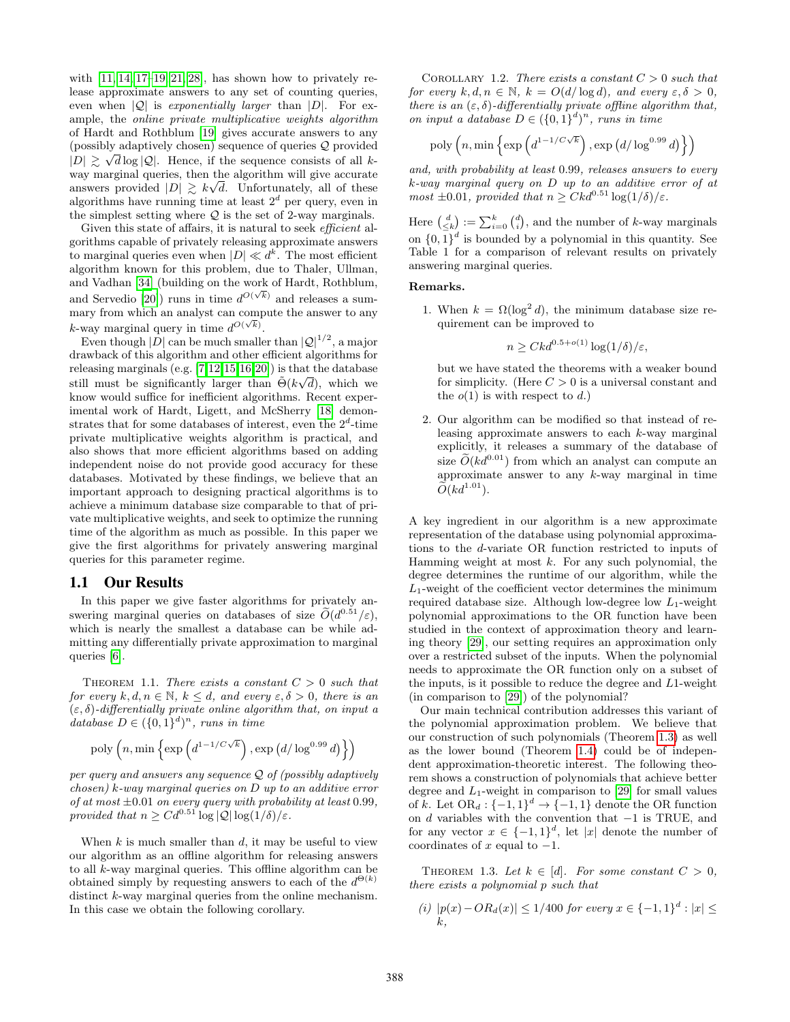with  $[11, 14, 17–19, 21, 28]$  $[11, 14, 17–19, 21, 28]$  $[11, 14, 17–19, 21, 28]$  $[11, 14, 17–19, 21, 28]$  $[11, 14, 17–19, 21, 28]$  $[11, 14, 17–19, 21, 28]$ , has shown how to privately release approximate answers to any set of counting queries, even when  $|Q|$  is *exponentially larger* than  $|D|$ . For example, the online private multiplicative weights algorithm of Hardt and Rothblum [\[19\]](#page-14-1) gives accurate answers to any (possibly adaptively chosen) sequence of queries Q provided √  $|D| \geq \sqrt{d} \log |\mathcal{Q}|$ . Hence, if the sequence consists of all kway marginal queries, then the algorithm will give accurate answers provided  $|D| \geq k\sqrt{d}$ . Unfortunately, all of these algorithms have running time at least  $2<sup>d</sup>$  per query, even in the simplest setting where  $Q$  is the set of 2-way marginals.

Given this state of affairs, it is natural to seek *efficient* algorithms capable of privately releasing approximate answers to marginal queries even when  $|D| \ll d^k$ . The most efficient algorithm known for this problem, due to Thaler, Ullman, and Vadhan [\[34\]](#page-14-4) (building on the work of Hardt, Rothblum, and Servedio [\[20\]](#page-14-5)) runs in time  $d^{O(\sqrt{k})}$  and releases a summary from which an analyst can compute the answer to any k-way marginal query in time  $d^{O(\sqrt{k})}$ .

Even though  $|D|$  can be much smaller than  $|Q|^{1/2}$ , a major drawback of this algorithm and other efficient algorithms for releasing marginals (e.g. [\[7,](#page-13-6)[12,](#page-13-7)[15,](#page-13-8)[16,](#page-14-6)[20\]](#page-14-5)) is that the database still must be significantly larger than  $\tilde{\Theta}(k\sqrt{d})$ , which we know would suffice for inefficient algorithms. Recent experimental work of Hardt, Ligett, and McSherry [\[18\]](#page-14-7) demonstrates that for some databases of interest, even the  $2^d$ -time private multiplicative weights algorithm is practical, and also shows that more efficient algorithms based on adding independent noise do not provide good accuracy for these databases. Motivated by these findings, we believe that an important approach to designing practical algorithms is to achieve a minimum database size comparable to that of private multiplicative weights, and seek to optimize the running time of the algorithm as much as possible. In this paper we give the first algorithms for privately answering marginal queries for this parameter regime.

### 1.1 Our Results

In this paper we give faster algorithms for privately answering marginal queries on databases of size  $\widetilde{O}(d^{0.51}/\varepsilon)$ , which is nearly the smallest a database can be while admitting any differentially private approximation to marginal queries [\[6\]](#page-13-9).

<span id="page-1-1"></span>THEOREM 1.1. There exists a constant  $C > 0$  such that for every  $k, d, n \in \mathbb{N}, k \leq d$ , and every  $\varepsilon, \delta > 0$ , there is an  $(\varepsilon, \delta)$ -differentially private online algorithm that, on input a database  $D \in (\{0,1\}^d)^n$ , runs in time

$$
poly\left(n, \min\left\{\exp\left(d^{1-1/C\sqrt{k}}\right), \exp\left(d/\log^{0.99}d\right)\right\}\right)
$$

per query and answers any sequence Q of (possibly adaptively chosen) k-way marginal queries on D up to an additive error of at most  $\pm 0.01$  on every query with probability at least 0.99, provided that  $n \geq Cd^{0.51}\log|Q|\log(1/\delta)/\varepsilon$ .

When  $k$  is much smaller than  $d$ , it may be useful to view our algorithm as an offline algorithm for releasing answers to all k-way marginal queries. This offline algorithm can be obtained simply by requesting answers to each of the  $d^{\Theta(k)}$ distinct k-way marginal queries from the online mechanism. In this case we obtain the following corollary.

COROLLARY 1.2. There exists a constant  $C > 0$  such that for every  $k, d, n \in \mathbb{N}$ ,  $k = O(d/\log d)$ , and every  $\varepsilon, \delta > 0$ , there is an  $(\varepsilon, \delta)$ -differentially private offline algorithm that, on input a database  $D \in (\{0,1\}^d)^n$ , runs in time

$$
\text{poly}\left(n,\min\left\{\exp\left(d^{1-1/C\sqrt{k}}\right),\exp\left(d/\log^{0.99}d\right)\right\}\right)
$$

and, with probability at least 0.99, releases answers to every k-way marginal query on D up to an additive error of at most  $\pm 0.01$ , provided that  $n \geq C k d^{0.51} \log(1/\delta)/\varepsilon$ .

Here  $\binom{d}{\leq k} := \sum_{i=0}^{k} \binom{d}{i}$ , and the number of k-way marginals on  $\{0,1\}^d$  is bounded by a polynomial in this quantity. See Table 1 for a comparison of relevant results on privately answering marginal queries.

#### Remarks.

1. When  $k = \Omega(\log^2 d)$ , the minimum database size requirement can be improved to

$$
n \ge Ckd^{0.5+o(1)}\log(1/\delta)/\varepsilon,
$$

but we have stated the theorems with a weaker bound for simplicity. (Here  $C > 0$  is a universal constant and the  $o(1)$  is with respect to d.)

2. Our algorithm can be modified so that instead of releasing approximate answers to each  $k$ -way marginal explicitly, it releases a summary of the database of size  $\tilde{O}(kd^{0.01})$  from which an analyst can compute an approximate answer to any k-way marginal in time  $\widetilde{O}(kd^{1.01})$ .

A key ingredient in our algorithm is a new approximate representation of the database using polynomial approximations to the d-variate OR function restricted to inputs of Hamming weight at most  $k$ . For any such polynomial, the degree determines the runtime of our algorithm, while the  $L_1$ -weight of the coefficient vector determines the minimum required database size. Although low-degree low  $L_1$ -weight polynomial approximations to the OR function have been studied in the context of approximation theory and learning theory [\[29\]](#page-14-8), our setting requires an approximation only over a restricted subset of the inputs. When the polynomial needs to approximate the OR function only on a subset of the inputs, is it possible to reduce the degree and L1-weight (in comparison to [\[29\]](#page-14-8)) of the polynomial?

Our main technical contribution addresses this variant of the polynomial approximation problem. We believe that our construction of such polynomials (Theorem [1.3\)](#page-1-0) as well as the lower bound (Theorem [1.4\)](#page-2-0) could be of independent approximation-theoretic interest. The following theorem shows a construction of polynomials that achieve better degree and  $L_1$ -weight in comparison to [\[29\]](#page-14-8) for small values of k. Let  $OR_d: \{-1, 1\}^d \to \{-1, 1\}$  denote the OR function on d variables with the convention that  $-1$  is TRUE, and for any vector  $x \in \{-1,1\}^d$ , let |x| denote the number of coordinates of x equal to  $-1$ .

<span id="page-1-0"></span>THEOREM 1.3. Let  $k \in [d]$ . For some constant  $C > 0$ , there exists a polynomial p such that

(*i*) 
$$
|p(x) - OR_d(x)| \le 1/400
$$
 for every  $x \in \{-1, 1\}^d : |x| \le k$ ,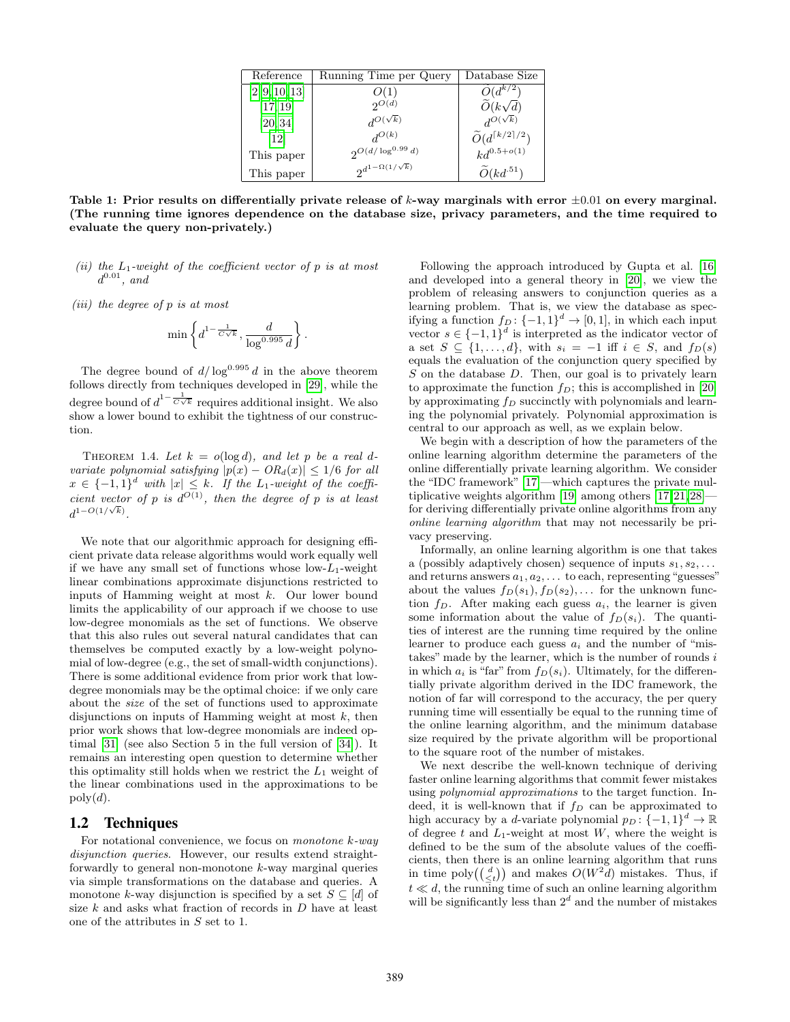| Reference         | Running Time per Query         | Database Size                            |
|-------------------|--------------------------------|------------------------------------------|
| [2, 9, 10, 13]    | O(1)                           | $O(d^{k/2})$                             |
| [17, 19]          | $2^{O(d)}$                     | $\widetilde{O}(k\sqrt{d})$               |
| [20, 34]          | $d^{O(\sqrt{k})}$              | $d^{O(\sqrt{k})}$                        |
| $\left[12\right]$ | $d^{O(k)}$                     | $\widetilde{O}(d^{\lceil k/2 \rceil/2})$ |
| This paper        | $2^{O(d/\log^{0.99}d)}$        | $kd^{0.5+o(1)}$                          |
| This paper        | $2^{d^{1-\Omega(1/\sqrt{k})}}$ | $O(kd^{.51})$                            |

Table 1: Prior results on differentially private release of k-way marginals with error  $\pm 0.01$  on every marginal. (The running time ignores dependence on the database size, privacy parameters, and the time required to evaluate the query non-privately.)

- (ii) the  $L_1$ -weight of the coefficient vector of p is at most  $d^{0.01}$ , and
- (iii) the degree of p is at most

$$
\min\left\{d^{1-\frac{1}{C\sqrt{k}}}, \frac{d}{\log^{0.995}d}\right\}
$$

.

The degree bound of  $d/\log^{0.995} d$  in the above theorem follows directly from techniques developed in [\[29\]](#page-14-8), while the degree bound of  $d^{1-\frac{1}{C\sqrt{k}}}$  requires additional insight. We also show a lower bound to exhibit the tightness of our construction.

<span id="page-2-0"></span>THEOREM 1.4. Let  $k = o(\log d)$ , and let p be a real dvariate polynomial satisfying  $|p(x) - OR_d(x)| \leq 1/6$  for all  $x \in \{-1,1\}^d$  with  $|x| \leq k$ . If the L<sub>1</sub>-weight of the coefficient vector of p is  $d^{O(1)}$ , then the degree of p is at least  $d^{1-O(1/\sqrt{k})}.$ 

We note that our algorithmic approach for designing efficient private data release algorithms would work equally well if we have any small set of functions whose  $low-L_1$ -weight linear combinations approximate disjunctions restricted to inputs of Hamming weight at most  $k$ . Our lower bound limits the applicability of our approach if we choose to use low-degree monomials as the set of functions. We observe that this also rules out several natural candidates that can themselves be computed exactly by a low-weight polynomial of low-degree (e.g., the set of small-width conjunctions). There is some additional evidence from prior work that lowdegree monomials may be the optimal choice: if we only care about the size of the set of functions used to approximate disjunctions on inputs of Hamming weight at most  $k$ , then prior work shows that low-degree monomials are indeed optimal [\[31\]](#page-14-9) (see also Section 5 in the full version of [\[34\]](#page-14-4)). It remains an interesting open question to determine whether this optimality still holds when we restrict the  $L_1$  weight of the linear combinations used in the approximations to be  $poly(d)$ .

### 1.2 Techniques

For notational convenience, we focus on *monotone*  $k$ -way disjunction queries. However, our results extend straightforwardly to general non-monotone k-way marginal queries via simple transformations on the database and queries. A monotone k-way disjunction is specified by a set  $S \subseteq [d]$  of size  $k$  and asks what fraction of records in  $D$  have at least one of the attributes in  $S$  set to 1.

Following the approach introduced by Gupta et al. [\[16\]](#page-14-6) and developed into a general theory in [\[20\]](#page-14-5), we view the problem of releasing answers to conjunction queries as a learning problem. That is, we view the database as specifying a function  $f_D: \{-1,1\}^d \to [0,1]$ , in which each input vector  $s \in \{-1,1\}^d$  is interpreted as the indicator vector of a set  $S \subseteq \{1, \ldots, d\}$ , with  $s_i = -1$  iff  $i \in S$ , and  $f_D(s)$ equals the evaluation of the conjunction query specified by  $S$  on the database  $D$ . Then, our goal is to privately learn to approximate the function  $f_D$ ; this is accomplished in [\[20\]](#page-14-5) by approximating  $f_D$  succinctly with polynomials and learning the polynomial privately. Polynomial approximation is central to our approach as well, as we explain below.

We begin with a description of how the parameters of the online learning algorithm determine the parameters of the online differentially private learning algorithm. We consider the "IDC framework" [\[17\]](#page-14-0)—which captures the private mul-tiplicative weights algorithm [\[19\]](#page-14-1) among others  $[17, 21, 28]$  $[17, 21, 28]$  $[17, 21, 28]$  $[17, 21, 28]$ for deriving differentially private online algorithms from any online learning algorithm that may not necessarily be privacy preserving.

Informally, an online learning algorithm is one that takes a (possibly adaptively chosen) sequence of inputs  $s_1, s_2, \ldots$ and returns answers  $a_1, a_2, \ldots$  to each, representing "guesses" about the values  $f_D(s_1), f_D(s_2), \ldots$  for the unknown function  $f_D$ . After making each guess  $a_i$ , the learner is given some information about the value of  $f_D(s_i)$ . The quantities of interest are the running time required by the online learner to produce each guess  $a_i$  and the number of "mistakes" made by the learner, which is the number of rounds  $i$ in which  $a_i$  is "far" from  $f_D(s_i)$ . Ultimately, for the differentially private algorithm derived in the IDC framework, the notion of far will correspond to the accuracy, the per query running time will essentially be equal to the running time of the online learning algorithm, and the minimum database size required by the private algorithm will be proportional to the square root of the number of mistakes.

We next describe the well-known technique of deriving faster online learning algorithms that commit fewer mistakes using polynomial approximations to the target function. Indeed, it is well-known that if  $f_D$  can be approximated to high accuracy by a *d*-variate polynomial  $p_D: \{-1, 1\}^d \to \mathbb{R}$ of degree t and  $L_1$ -weight at most W, where the weight is defined to be the sum of the absolute values of the coefficients, then there is an online learning algorithm that runs in time  $\text{poly}(\binom{d}{\leq t})$  and makes  $O(W^2\bar{d})$  mistakes. Thus, if  $t \ll d$ , the running time of such an online learning algorithm will be significantly less than  $2^d$  and the number of mistakes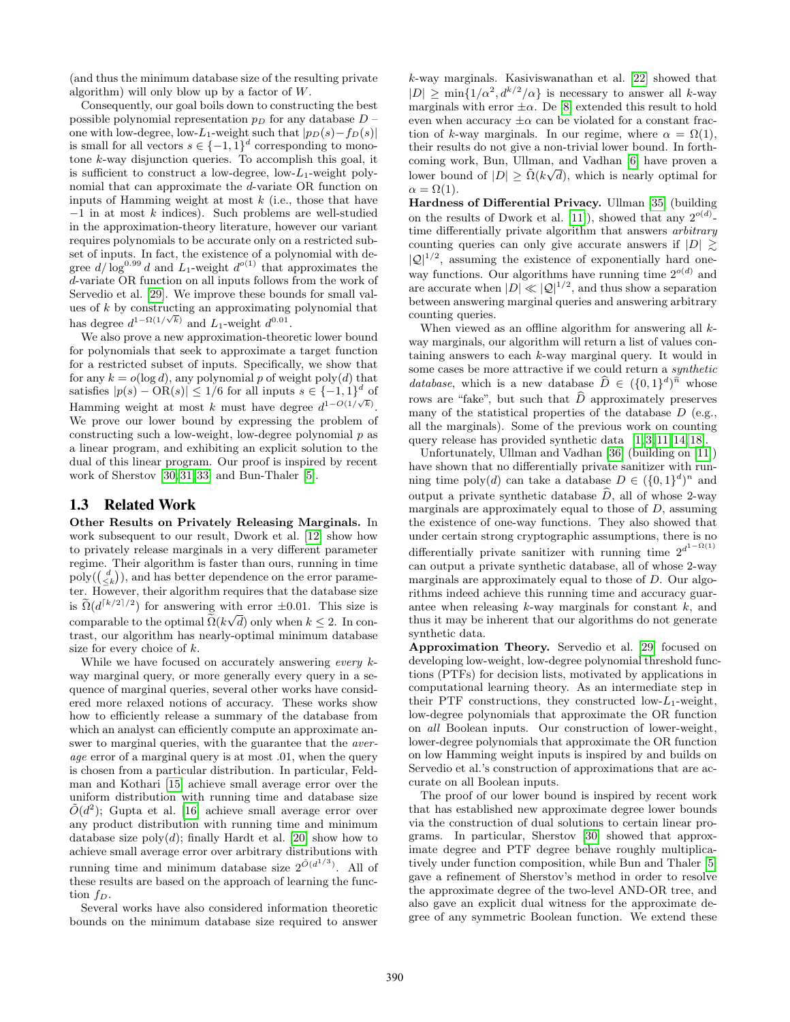(and thus the minimum database size of the resulting private algorithm) will only blow up by a factor of  $W$ .

Consequently, our goal boils down to constructing the best possible polynomial representation  $p<sub>D</sub>$  for any database  $D$  – one with low-degree, low-L<sub>1</sub>-weight such that  $|p_D(s)-f_D(s)|$ is small for all vectors  $s \in \{-1,1\}^d$  corresponding to monotone k-way disjunction queries. To accomplish this goal, it is sufficient to construct a low-degree, low- $L_1$ -weight polynomial that can approximate the d-variate OR function on inputs of Hamming weight at most  $k$  (i.e., those that have −1 in at most k indices). Such problems are well-studied in the approximation-theory literature, however our variant requires polynomials to be accurate only on a restricted subset of inputs. In fact, the existence of a polynomial with degree  $d/\log^{0.99} d$  and L<sub>1</sub>-weight  $d^{o(1)}$  that approximates the d-variate OR function on all inputs follows from the work of Servedio et al. [\[29\]](#page-14-8). We improve these bounds for small values of  $k$  by constructing an approximating polynomial that has degree  $d^{1-\Omega(1/\sqrt{k})}$  and  $L_1$ -weight  $d^{0.01}$ .

We also prove a new approximation-theoretic lower bound for polynomials that seek to approximate a target function for a restricted subset of inputs. Specifically, we show that for any  $k = o(\log d)$ , any polynomial p of weight poly $(d)$  that satisfies  $|p(s) - \text{OR}(s)| \leq 1/6$  for all inputs  $s \in \{-1, 1\}^d$  of Hamming weight at most k must have degree  $d^{1-O(1/\sqrt{k})}$ . We prove our lower bound by expressing the problem of constructing such a low-weight, low-degree polynomial  $p$  as a linear program, and exhibiting an explicit solution to the dual of this linear program. Our proof is inspired by recent work of Sherstov [\[30,](#page-14-10) [31,](#page-14-9) [33\]](#page-14-11) and Bun-Thaler [\[5\]](#page-13-11).

### 1.3 Related Work

Other Results on Privately Releasing Marginals. In work subsequent to our result, Dwork et al. [\[12\]](#page-13-7) show how to privately release marginals in a very different parameter regime. Their algorithm is faster than ours, running in time  $\text{poly}(\binom{d}{\leq k})$ , and has better dependence on the error parameter. However, their algorithm requires that the database size is  $\widetilde{\Omega}(d^{\lceil k/2 \rceil/2})$  for answering with error  $\pm 0.01$ . This size is comparable to the optimal  $\Omega(k\sqrt{d})$  only when  $k \leq 2$ . In contrast, our algorithm has nearly-optimal minimum database size for every choice of k.

While we have focused on accurately answering every kway marginal query, or more generally every query in a sequence of marginal queries, several other works have considered more relaxed notions of accuracy. These works show how to efficiently release a summary of the database from which an analyst can efficiently compute an approximate answer to marginal queries, with the guarantee that the *aver*age error of a marginal query is at most .01, when the query is chosen from a particular distribution. In particular, Feldman and Kothari [\[15\]](#page-13-8) achieve small average error over the uniform distribution with running time and database size  $\tilde{O}(d^2)$ ; Gupta et al. [\[16\]](#page-14-6) achieve small average error over any product distribution with running time and minimum database size  $poly(d)$ ; finally Hardt et al. [\[20\]](#page-14-5) show how to achieve small average error over arbitrary distributions with running time and minimum database size  $2^{\tilde{O}(d^{1/3})}$ . All of these results are based on the approach of learning the function  $f_D$ .

Several works have also considered information theoretic bounds on the minimum database size required to answer

k-way marginals. Kasiviswanathan et al. [\[22\]](#page-14-12) showed that  $|D| \ge \min\{1/\alpha^2, d^{k/2}/\alpha\}$  is necessary to answer all k-way marginals with error  $\pm \alpha$ . De [\[8\]](#page-13-12) extended this result to hold even when accuracy  $\pm \alpha$  can be violated for a constant fraction of k-way marginals. In our regime, where  $\alpha = \Omega(1)$ , their results do not give a non-trivial lower bound. In forth-coming work, Bun, Ullman, and Vadhan [\[6\]](#page-13-9) have proven a lower bound of  $|D| \geq \tilde{\Omega}(k\sqrt{d})$ , which is nearly optimal for  $\alpha = \Omega(1)$ .

Hardness of Differential Privacy. Ullman [\[35\]](#page-14-13) (building on the results of Dwork et al. [\[11\]](#page-13-4)), showed that any  $2^{o(d)}$ time differentially private algorithm that answers arbitrary counting queries can only give accurate answers if  $|D| \gtrsim$  $|\mathcal{Q}|^{1/2}$ , assuming the existence of exponentially hard oneway functions. Our algorithms have running time  $2^{o(d)}$  and are accurate when  $|D| \ll |\mathcal{Q}|^{1/2}$ , and thus show a separation between answering marginal queries and answering arbitrary counting queries.

When viewed as an offline algorithm for answering all  $k$ way marginals, our algorithm will return a list of values containing answers to each k-way marginal query. It would in some cases be more attractive if we could return a synthetic database, which is a new database  $\widehat{D} \in (\{0,1\}^d)^{\widehat{n}}$  whose rows are "fake", but such that  $\widehat{D}$  approximately preserves many of the statistical properties of the database  $D$  (e.g., all the marginals). Some of the previous work on counting query release has provided synthetic data [\[1,](#page-13-13) [3,](#page-13-3) [11,](#page-13-4) [14,](#page-13-5) [18\]](#page-14-7).

Unfortunately, Ullman and Vadhan [\[36\]](#page-14-14) (building on [\[11\]](#page-13-4)) have shown that no differentially private sanitizer with running time poly(d) can take a database  $D \in (\{0,1\}^d)^n$  and output a private synthetic database  $\widehat{D}$ , all of whose 2-way marginals are approximately equal to those of  $D$ , assuming the existence of one-way functions. They also showed that under certain strong cryptographic assumptions, there is no differentially private sanitizer with running time  $2^{d^{1-\Omega(1)}}$ can output a private synthetic database, all of whose 2-way marginals are approximately equal to those of D. Our algorithms indeed achieve this running time and accuracy guarantee when releasing  $k$ -way marginals for constant  $k$ , and thus it may be inherent that our algorithms do not generate synthetic data.

Approximation Theory. Servedio et al. [\[29\]](#page-14-8) focused on developing low-weight, low-degree polynomial threshold functions (PTFs) for decision lists, motivated by applications in computational learning theory. As an intermediate step in their PTF constructions, they constructed low- $L_1$ -weight, low-degree polynomials that approximate the OR function on all Boolean inputs. Our construction of lower-weight, lower-degree polynomials that approximate the OR function on low Hamming weight inputs is inspired by and builds on Servedio et al.'s construction of approximations that are accurate on all Boolean inputs.

The proof of our lower bound is inspired by recent work that has established new approximate degree lower bounds via the construction of dual solutions to certain linear programs. In particular, Sherstov [\[30\]](#page-14-10) showed that approximate degree and PTF degree behave roughly multiplicatively under function composition, while Bun and Thaler [\[5\]](#page-13-11) gave a refinement of Sherstov's method in order to resolve the approximate degree of the two-level AND-OR tree, and also gave an explicit dual witness for the approximate degree of any symmetric Boolean function. We extend these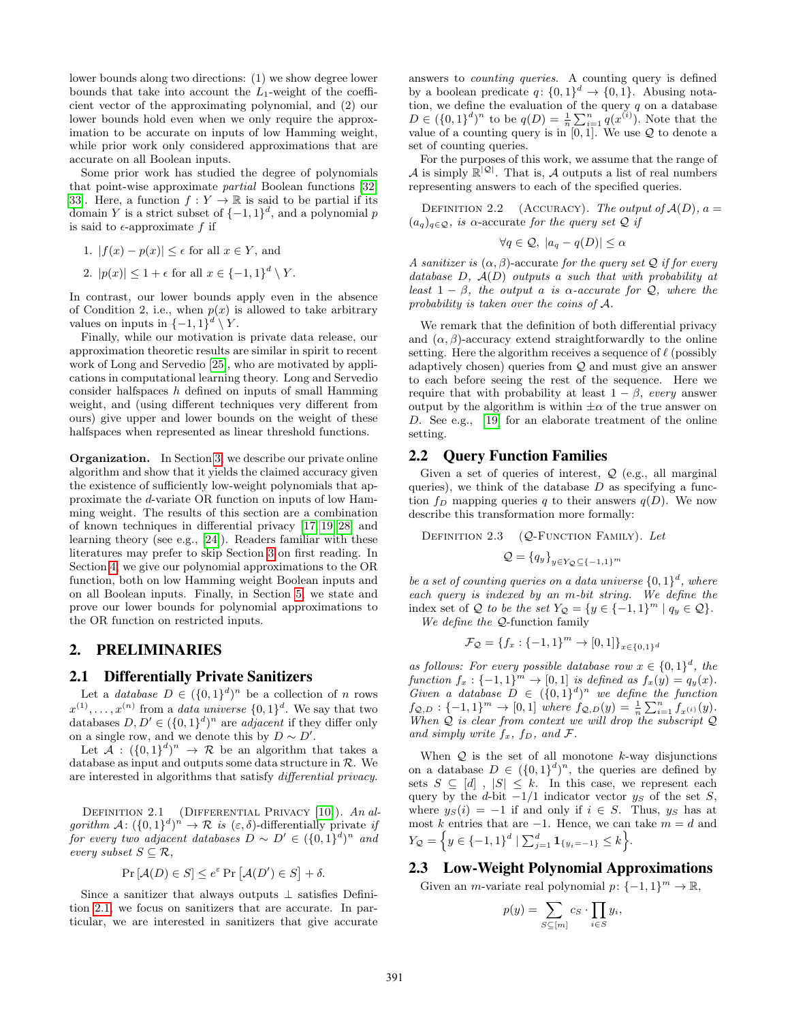lower bounds along two directions: (1) we show degree lower bounds that take into account the  $L_1$ -weight of the coefficient vector of the approximating polynomial, and (2) our lower bounds hold even when we only require the approximation to be accurate on inputs of low Hamming weight, while prior work only considered approximations that are accurate on all Boolean inputs.

Some prior work has studied the degree of polynomials that point-wise approximate partial Boolean functions [\[32,](#page-14-15) 33. Here, a function  $f: Y \to \mathbb{R}$  is said to be partial if its domain Y is a strict subset of  $\{-1,1\}^d$ , and a polynomial p is said to  $\epsilon$ -approximate f if

- 1.  $|f(x) p(x)| \leq \epsilon$  for all  $x \in Y$ , and
- 2.  $|p(x)| \leq 1 + \epsilon$  for all  $x \in \{-1, 1\}^d \setminus Y$ .

In contrast, our lower bounds apply even in the absence of Condition 2, i.e., when  $p(x)$  is allowed to take arbitrary values on inputs in  $\{-1,1\}^d \setminus Y$ .

Finally, while our motivation is private data release, our approximation theoretic results are similar in spirit to recent work of Long and Servedio [\[25\]](#page-14-16), who are motivated by applications in computational learning theory. Long and Servedio consider halfspaces  $h$  defined on inputs of small Hamming weight, and (using different techniques very different from ours) give upper and lower bounds on the weight of these halfspaces when represented as linear threshold functions.

Organization. In Section [3,](#page-5-0) we describe our private online algorithm and show that it yields the claimed accuracy given the existence of sufficiently low-weight polynomials that approximate the d-variate OR function on inputs of low Hamming weight. The results of this section are a combination of known techniques in differential privacy [\[17,](#page-14-0) [19,](#page-14-1) [28\]](#page-14-3) and learning theory (see e.g., [\[24\]](#page-14-17)). Readers familiar with these literatures may prefer to skip Section [3](#page-5-0) on first reading. In Section [4,](#page-7-0) we give our polynomial approximations to the OR function, both on low Hamming weight Boolean inputs and on all Boolean inputs. Finally, in Section [5,](#page-9-0) we state and prove our lower bounds for polynomial approximations to the OR function on restricted inputs.

#### 2. PRELIMINARIES

### <span id="page-4-1"></span>2.1 Differentially Private Sanitizers

Let a *database*  $D \in (\{0,1\}^d)^n$  be a collection of *n* rows  $x^{(1)}, \ldots, x^{(n)}$  from a *data universe*  $\{0,1\}^d$ . We say that two databases  $D, D' \in (\{0,1\}^d)^n$  are *adjacent* if they differ only on a single row, and we denote this by  $D \sim D'$ .

Let  $A: (\{0,1\}^d)^n \to \mathcal{R}$  be an algorithm that takes a database as input and outputs some data structure in  $R$ . We are interested in algorithms that satisfy differential privacy.

<span id="page-4-0"></span>DEFINITION 2.1 (DIFFERENTIAL PRIVACY [\[10\]](#page-13-0)). An algorithm  $\mathcal{A}: (\{0,1\}^d)^n \to \mathcal{R}$  is  $(\varepsilon,\delta)$ -differentially private if for every two adjacent databases  $D \sim D' \in (\{0,1\}^d)^n$  and every subset  $S \subseteq \mathcal{R}$ ,

$$
\Pr[\mathcal{A}(D) \in S] \le e^{\varepsilon} \Pr[\mathcal{A}(D') \in S] + \delta.
$$

Since a sanitizer that always outputs ⊥ satisfies Definition [2.1,](#page-4-0) we focus on sanitizers that are accurate. In particular, we are interested in sanitizers that give accurate answers to *counting queries*. A counting query is defined by a boolean predicate  $q: \{0,1\}^d \to \{0,1\}$ . Abusing notation, we define the evaluation of the query  $q$  on a database  $D \in (\{0,1\}^d)^n$  to be  $q(D) = \frac{1}{n} \sum_{i=1}^n q(x^{(i)})$ . Note that the value of a counting query is in  $[0, 1]$ . We use  $\mathcal Q$  to denote a set of counting queries.

For the purposes of this work, we assume that the range of A is simply  $\mathbb{R}^{|\mathcal{Q}|}$ . That is, A outputs a list of real numbers representing answers to each of the specified queries.

DEFINITION 2.2 (ACCURACY). The output of  $A(D)$ ,  $a =$  $(a_q)_{q \in \mathcal{Q}}$ , is  $\alpha$ -accurate for the query set  $\mathcal{Q}$  if

$$
\forall q \in \mathcal{Q}, \ |a_q - q(D)| \le \alpha
$$

A sanitizer is  $(\alpha, \beta)$ -accurate for the query set Q if for every database  $D, \mathcal{A}(D)$  outputs a such that with probability at least  $1 - \beta$ , the output a is  $\alpha$ -accurate for  $\mathcal{Q}$ , where the probability is taken over the coins of A.

We remark that the definition of both differential privacy and  $(\alpha, \beta)$ -accuracy extend straightforwardly to the online setting. Here the algorithm receives a sequence of  $\ell$  (possibly adaptively chosen) queries from Q and must give an answer to each before seeing the rest of the sequence. Here we require that with probability at least  $1 - \beta$ , every answer output by the algorithm is within  $\pm \alpha$  of the true answer on D. See e.g., [\[19\]](#page-14-1) for an elaborate treatment of the online setting.

### 2.2 Query Function Families

Given a set of queries of interest,  $Q$  (e.g., all marginal queries), we think of the database  $D$  as specifying a function  $f_D$  mapping queries q to their answers  $q(D)$ . We now describe this transformation more formally:

DEFINITION  $2.3$  (Q-FUNCTION FAMILY). Let

$$
\mathcal{Q} = \{q_y\}_{y \in Y_{\mathcal{Q}} \subseteq \{-1,1\}^m}
$$

be a set of counting queries on a data universe  $\{0,1\}^d$ , where each query is indexed by an m-bit string. We define the index set of Q to be the set  $Y_Q = \{y \in \{-1,1\}^m \mid q_y \in Q\}.$ We define the Q-function family

$$
\mathcal{F}_{\mathcal{Q}} = \{f_x : \{-1, 1\}^m \to [0, 1]\}_{x \in \{0, 1\}^d}
$$

as follows: For every possible database row  $x \in \{0,1\}^d$ , the function  $f_x: \{-1,1\}^m \to [0,1]$  is defined as  $f_x(y) = q_y(x)$ . Given a database  $D \in (\{0,1\}^d)^n$  we define the function  $f_{\mathcal{Q},D}: \{-1,1\}^m \to [0,1]$  where  $f_{\mathcal{Q},D}(y) = \frac{1}{n} \sum_{i=1}^n f_{x^{(i)}}(y)$ . When  $Q$  is clear from context we will drop the subscript  $Q$ and simply write  $f_x$ ,  $f_D$ , and  $\mathcal{F}$ .

When  $Q$  is the set of all monotone k-way disjunctions on a database  $D \in (\{0,1\}^d)^n$ , the queries are defined by sets  $S \subseteq [d]$ ,  $|S| \leq k$ . In this case, we represent each query by the d-bit  $-1/1$  indicator vector  $y_s$  of the set S, where  $y_S(i) = -1$  if and only if  $i \in S$ . Thus,  $y_S$  has at most k entries that are  $-1$ . Hence, we can take  $m = d$  and  $Y_{\mathcal{Q}} = \left\{ y \in \{-1, 1\}^d \mid \sum_{j=1}^d \mathbf{1}_{\{y_i = -1\}} \leq k \right\}.$ 

# 2.3 Low-Weight Polynomial Approximations

Given an *m*-variate real polynomial  $p: \{-1, 1\}^m \to \mathbb{R}$ ,

$$
p(y) = \sum_{S \subseteq [m]} c_S \cdot \prod_{i \in S} y_i,
$$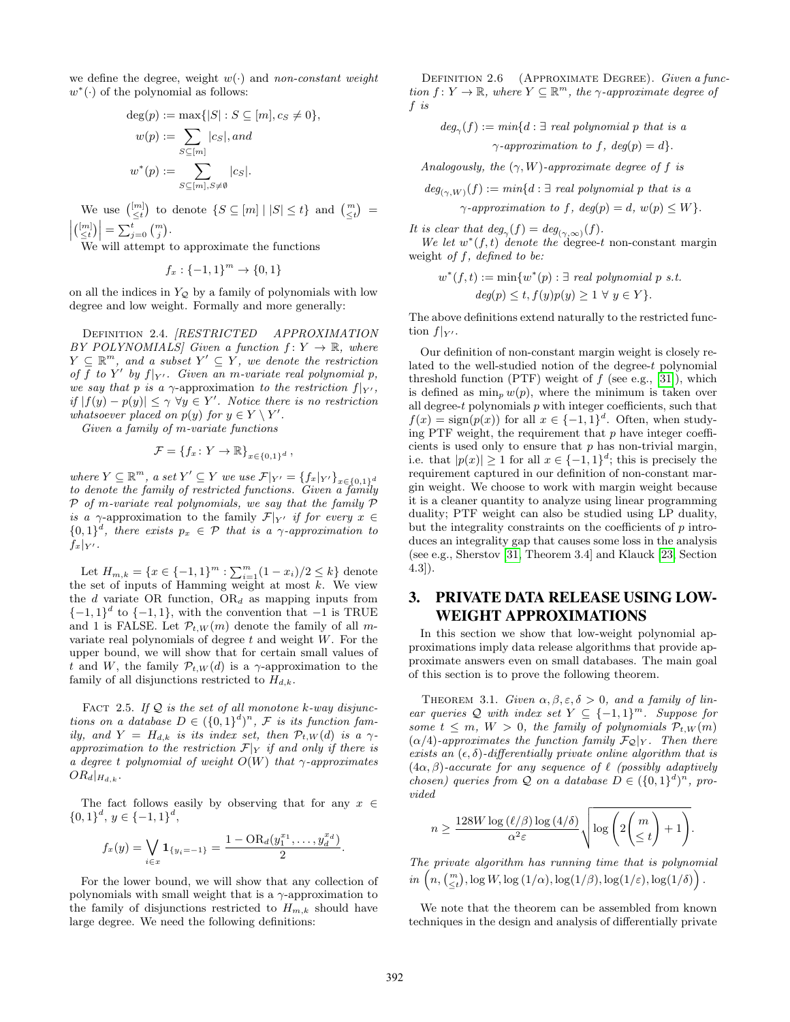we define the degree, weight  $w(\cdot)$  and non-constant weight  $w^*(.)$  of the polynomial as follows:

$$
deg(p) := \max\{|S| : S \subseteq [m], c_S \neq 0\},
$$
  

$$
w(p) := \sum_{S \subseteq [m]} |c_S|, and
$$
  

$$
w^*(p) := \sum_{S \subseteq [m], S \neq \emptyset} |c_S|.
$$

We use  $\binom{[m]}{\leq t}$  to denote  $\{S \subseteq [m] \mid |S| \leq t\}$  and  $\binom{m}{\leq t}$  $\left| \begin{pmatrix} [m] \\ \leq t \end{pmatrix} \right| = \sum_{j=0}^t \binom{m}{j}.$ 

We will attempt to approximate the functions

 $f_x: \{-1, 1\}^m \to \{0, 1\}$ 

on all the indices in  $Y_{\mathcal{Q}}$  by a family of polynomials with low degree and low weight. Formally and more generally:

Definition 2.4. [RESTRICTED APPROXIMATION BY POLYNOMIALS] Given a function  $f: Y \to \mathbb{R}$ , where  $Y \subseteq \mathbb{R}^m$ , and a subset  $Y' \subseteq Y$ , we denote the restriction of f to Y' by  $f|_{Y'}$ . Given an m-variate real polynomial p, we say that p is a  $\gamma$ -approximation to the restriction  $f|_{Y'}$ , if  $|f(y) - p(y)| \leq \gamma \ \forall y \in Y'$ . Notice there is no restriction whatsoever placed on  $p(y)$  for  $y \in Y \setminus Y'$ .

Given a family of m-variate functions

$$
\mathcal{F} = \{f_x \colon Y \to \mathbb{R}\}_{x \in \{0,1\}^d},
$$

where  $Y \subseteq \mathbb{R}^m$ , a set  $Y' \subseteq Y$  we use  $\mathcal{F}|_{Y'} = \{f_x|_{Y'}\}_{x \in \{0,1\}^d}$ to denote the family of restricted functions. Given a family  $P$  of m-variate real polynomials, we say that the family  $P$ is a  $\gamma$ -approximation to the family  $\mathcal{F}|_{Y'}$  if for every  $x \in$  ${0,1}^d$ , there exists  $p_x \in \mathcal{P}$  that is a  $\gamma$ -approximation to  $f_x|_{Y'}$ .

Let  $H_{m,k} = \{x \in \{-1,1\}^m : \sum_{i=1}^m (1-x_i)/2 \le k\}$  denote the set of inputs of Hamming weight at most  $k$ . We view the d variate OR function,  $OR_d$  as mapping inputs from  $\{-1,1\}^d$  to  $\{-1,1\}$ , with the convention that  $-1$  is TRUE and 1 is FALSE. Let  $\mathcal{P}_{t,W}(m)$  denote the family of all mvariate real polynomials of degree  $t$  and weight  $W$ . For the upper bound, we will show that for certain small values of t and W, the family  $\mathcal{P}_{t,W}(d)$  is a  $\gamma$ -approximation to the family of all disjunctions restricted to  $H_{d,k}$ .

<span id="page-5-2"></span>FACT 2.5. If  $Q$  is the set of all monotone k-way disjunctions on a database  $D \in (\{0,1\}^d)^n$ , F is its function family, and  $Y = H_{d,k}$  is its index set, then  $\mathcal{P}_{t,W}(d)$  is a  $\gamma$ approximation to the restriction  $\mathcal{F}|_Y$  if and only if there is a degree t polynomial of weight  $O(W)$  that  $\gamma$ -approximates  $OR_d|_{H_{d,k}}$ .

The fact follows easily by observing that for any  $x \in$  $\{0,1\}^d$ ,  $y \in \{-1,1\}^d$ ,

$$
f_x(y) = \bigvee_{i \in x} \mathbf{1}_{\{y_i = -1\}} = \frac{1 - \text{OR}_d(y_1^{x_1}, \dots, y_d^{x_d})}{2}.
$$

For the lower bound, we will show that any collection of polynomials with small weight that is a  $\gamma$ -approximation to the family of disjunctions restricted to  $H_{m,k}$  should have large degree. We need the following definitions:

DEFINITION 2.6 (APPROXIMATE DEGREE). Given a function  $f: Y \to \mathbb{R}$ , where  $Y \subseteq \mathbb{R}^m$ , the  $\gamma$ -approximate degree of f is

 $deg_{\gamma}(f) := min\{d : \exists \text{ real polynomial } p \text{ that is a }$  $\gamma$ -approximation to f, deg(p) = d}.

Analogously, the  $(\gamma, W)$ -approximate degree of f is

$$
eg_{(\gamma,W)}(f) := min\{d : \exists \text{ real polynomial } p \text{ that is a}
$$

$$
\gamma \text{-approximation to } f, \text{ deg}(p) = d, \text{ } w(p) \leq W\}.
$$

It is clear that  $deg_{\gamma}(f) = deg_{(\gamma,\infty)}(f)$ .

 $d$ 

We let  $w^*(f,t)$  denote the degree-t non-constant margin weight of  $f$ , defined to be:

$$
w^*(f,t) := \min\{w^*(p) : \exists \text{ real polynomial } p \text{ s.t.}
$$

$$
deg(p) \le t, f(y)p(y) \ge 1 \ \forall \ y \in Y\}.
$$

The above definitions extend naturally to the restricted function  $f|_{Y'}$ .

Our definition of non-constant margin weight is closely related to the well-studied notion of the degree-t polynomial threshold function (PTF) weight of  $f$  (see e.g., [\[31\]](#page-14-9)), which is defined as  $\min_p w(p)$ , where the minimum is taken over all degree- $t$  polynomials  $p$  with integer coefficients, such that  $f(x) = sign(p(x))$  for all  $x \in \{-1,1\}^d$ . Often, when studying PTF weight, the requirement that  $p$  have integer coefficients is used only to ensure that  $p$  has non-trivial margin, i.e. that  $|p(x)| \geq 1$  for all  $x \in \{-1,1\}^d$ ; this is precisely the requirement captured in our definition of non-constant margin weight. We choose to work with margin weight because it is a cleaner quantity to analyze using linear programming duality; PTF weight can also be studied using LP duality, but the integrality constraints on the coefficients of  $p$  introduces an integrality gap that causes some loss in the analysis (see e.g., Sherstov [\[31,](#page-14-9) Theorem 3.4] and Klauck [\[23,](#page-14-18) Section 4.3]).

# <span id="page-5-0"></span>3. PRIVATE DATA RELEASE USING LOW-WEIGHT APPROXIMATIONS

In this section we show that low-weight polynomial approximations imply data release algorithms that provide approximate answers even on small databases. The main goal of this section is to prove the following theorem.

<span id="page-5-1"></span>THEOREM 3.1. Given  $\alpha, \beta, \varepsilon, \delta > 0$ , and a family of linear queries Q with index set  $Y \subseteq \{-1,1\}^m$ . Suppose for some  $t \leq m$ ,  $W > 0$ , the family of polynomials  $\mathcal{P}_{t,W}(m)$  $(\alpha/4)$ -approximates the function family  $\mathcal{F}_{\mathcal{Q}}|_Y$ . Then there exists an  $(\epsilon, \delta)$ -differentially private online algorithm that is  $(4\alpha, \beta)$ -accurate for any sequence of  $\ell$  (possibly adaptively chosen) queries from  $Q$  on a database  $D \in (\{0,1\}^d)^n$ , provided

$$
n \geq \frac{128 W \log \left( \ell/\beta \right) \log \left( 4/\delta \right)}{\alpha^2 \varepsilon} \sqrt{\log \left( 2 \binom{m}{\leq t} + 1 \right)}.
$$

The private algorithm has running time that is polynomial  $\overline{in}\left(n,\binom{m}{\leq t},\log W,\log{(1/\alpha)},\log(1/\beta),\log(1/\varepsilon),\log(1/\delta)\right).$ 

We note that the theorem can be assembled from known techniques in the design and analysis of differentially private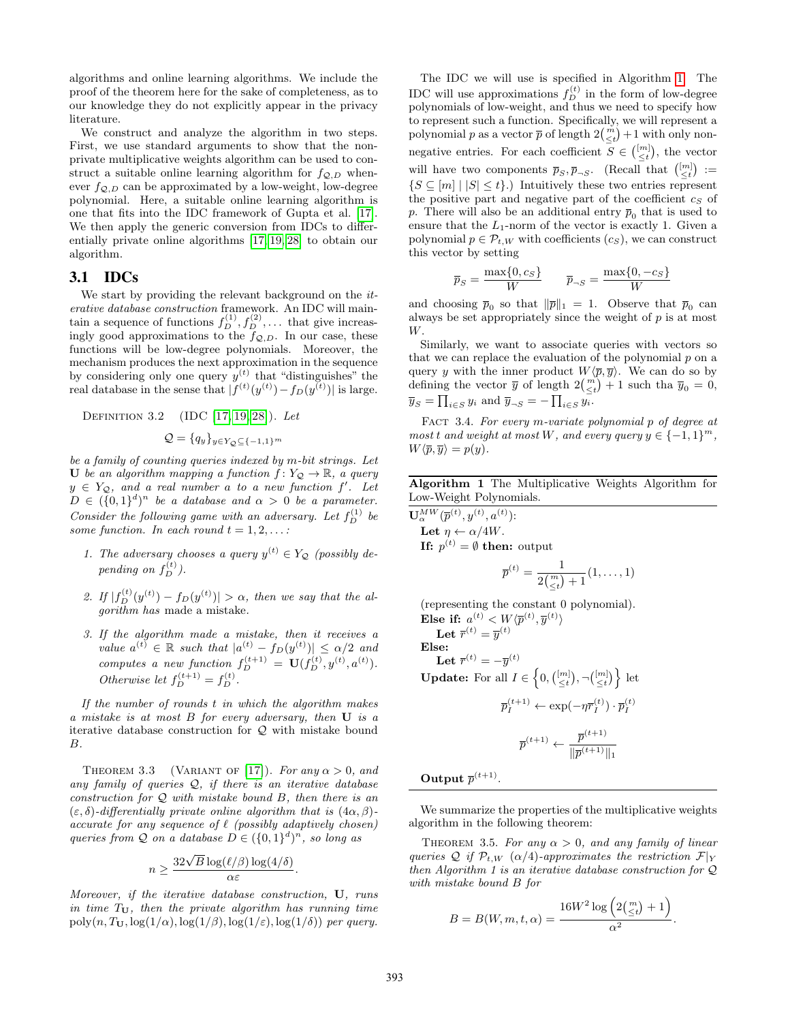algorithms and online learning algorithms. We include the proof of the theorem here for the sake of completeness, as to our knowledge they do not explicitly appear in the privacy literature.

We construct and analyze the algorithm in two steps. First, we use standard arguments to show that the nonprivate multiplicative weights algorithm can be used to construct a suitable online learning algorithm for  $f_{Q,D}$  whenever  $f_{Q,D}$  can be approximated by a low-weight, low-degree polynomial. Here, a suitable online learning algorithm is one that fits into the IDC framework of Gupta et al. [\[17\]](#page-14-0). We then apply the generic conversion from IDCs to differentially private online algorithms [\[17,](#page-14-0) [19,](#page-14-1) [28\]](#page-14-3) to obtain our algorithm.

### 3.1 IDCs

We start by providing the relevant background on the  $it$ erative database construction framework. An IDC will maintain a sequence of functions  $f_D^{(1)}, f_D^{(2)}, \ldots$  that give increasingly good approximations to the  $f_{\mathcal{Q},D}$ . In our case, these functions will be low-degree polynomials. Moreover, the mechanism produces the next approximation in the sequence by considering only one query  $y^{(t)}$  that "distinguishes" the real database in the sense that  $|f^{(t)}(y^{(t)}) - f_D(y^{(t)})|$  is large.

DEFINITION 3.2  $(IDC [17, 19, 28])$  $(IDC [17, 19, 28])$  $(IDC [17, 19, 28])$  $(IDC [17, 19, 28])$  $(IDC [17, 19, 28])$ . Let

$$
\mathcal{Q} = \{q_y\}_{y \in Y_{\mathcal{Q}} \subseteq \{-1,1\}^m}
$$

be a family of counting queries indexed by m-bit strings. Let U be an algorithm mapping a function  $f: Y_{\mathcal{Q}} \to \mathbb{R}$ , a query  $y \in Y_{\mathcal{Q}}$ , and a real number a to a new function f'. Let  $D \in (\{0,1\}^d)^n$  be a database and  $\alpha > 0$  be a parameter. Consider the following game with an adversary. Let  $f_D^{(1)}$  be some function. In each round  $t = 1, 2, \ldots$ :

- 1. The adversary chooses a query  $y^{(t)} \in Y_{\mathcal{Q}}$  (possibly depending on  $f_D^{(t)}$ ).
- 2. If  $|f_D^{(t)}(y^{(t)}) f_D(y^{(t)})| > \alpha$ , then we say that the algorithm has made a mistake.
- 3. If the algorithm made a mistake, then it receives a value  $a^{(t)} \in \mathbb{R}$  such that  $|a^{(t)} - f_D(y^{(t)})| \leq \alpha/2$  and computes a new function  $f_D^{(t+1)} = U(f_D^{(t)}, y^{(t)}, a^{(t)})$ . Otherwise let  $f_D^{(t+1)} = f_D^{(t)}$ .

If the number of rounds t in which the algorithm makes a mistake is at most B for every adversary, then U is a iterative database construction for Q with mistake bound B.

<span id="page-6-1"></span>THEOREM 3.3 (VARIANT OF [\[17\]](#page-14-0)). For any  $\alpha > 0$ , and any family of queries  $Q$ , if there is an iterative database construction for  $Q$  with mistake bound  $B$ , then there is an  $(\varepsilon, \delta)$ -differentially private online algorithm that is  $(4\alpha, \beta)$ accurate for any sequence of  $\ell$  (possibly adaptively chosen) queries from  $Q$  on a database  $D \in (\{0,1\}^d)^n$ , so long as

$$
n \ge \frac{32\sqrt{B}\log(\ell/\beta)\log(4/\delta)}{\alpha\varepsilon}
$$

.

Moreover, if the iterative database construction, U, runs in time  $T_{U}$ , then the private algorithm has running time poly $(n, T_{\mathbf{U}}, \log(1/\alpha), \log(1/\beta), \log(1/\varepsilon), \log(1/\delta))$  per query.

The IDC we will use is specified in Algorithm [1.](#page-6-0) The IDC will use approximations  $f_D^{(t)}$  in the form of low-degree polynomials of low-weight, and thus we need to specify how to represent such a function. Specifically, we will represent a polynomial p as a vector  $\bar{p}$  of length  $2\binom{m}{\leq t}+1$  with only nonnegative entries. For each coefficient  $S \in \binom{[m]}{\leq t}$ , the vector will have two components  $\overline{p}_S, \overline{p}_{\neg S}$ . (Recall that  $\binom{[m]}{\leq t}$  :=  $\{S \subseteq [m] \mid |S| \leq t\}$ .) Intuitively these two entries represent the positive part and negative part of the coefficient  $c_S$  of p. There will also be an additional entry  $\bar{p}_0$  that is used to ensure that the  $L_1$ -norm of the vector is exactly 1. Given a polynomial  $p \in \mathcal{P}_{t,W}$  with coefficients  $(c_S)$ , we can construct this vector by setting

$$
\overline{p}_S = \frac{\max\{0, c_S\}}{W} \qquad \overline{p}_{\neg S} = \frac{\max\{0, -c_S\}}{W}
$$

and choosing  $\bar{p}_0$  so that  $\|\bar{p}\|_1 = 1$ . Observe that  $\bar{p}_0$  can always be set appropriately since the weight of  $p$  is at most W.

Similarly, we want to associate queries with vectors so that we can replace the evaluation of the polynomial  $p$  on a query y with the inner product  $W\langle\overline{p}, \overline{y}\rangle$ . We can do so by defining the vector  $\overline{y}$  of length  $2\binom{m}{\leq t}+1$  such tha  $\overline{y}_0 = 0$ ,  $\overline{y}_S = \prod_{i \in S} y_i$  and  $\overline{y}_{\neg S} = -\prod_{i \in S} y_i$ .

FACT 3.4. For every m-variate polynomial p of degree at most t and weight at most W, and every query  $y \in \{-1,1\}^m$ ,  $W\langle \overline{p}, \overline{y}\rangle = p(y).$ 

<span id="page-6-0"></span>Algorithm 1 The Multiplicative Weights Algorithm for Low-Weight Polynomials.

 $\mathbf{U}^{MW}_\alpha(\overline{p}^{(t)},y^{(t)},a^{(t)})$ : Let  $\eta \leftarrow \alpha/4W.$ If:  $p^{(t)} = \emptyset$  then: output  $\overline{p}^{(t)} = \frac{1}{\overline{p}^{(m)}}$  $\frac{1}{2\binom{m}{\leq t}+1}(1,\ldots,1)$ (representing the constant 0 polynomial). Else if:  $a^{(t)} < W\langle \overline{p}^{(t)}, \overline{y}^{(t)}\rangle$ 

Let 
$$
\overline{r}^{(t)} = \overline{y}^{(t)}
$$

\nElse:

\nLet  $\overline{r}^{(t)} = -\overline{y}^{(t)}$ 

\nUpdate: For all  $I \in \left\{0, \left(\frac{[m]}{\leq t}\right), \neg\left(\frac{[m]}{\leq t}\right)\right\}$  let

\n
$$
\overline{p}_I^{(t+1)} \leftarrow \exp(-\eta \overline{r}_I^{(t)}) \cdot \overline{p}_I^{(t)}
$$

\n
$$
\overline{p}^{(t+1)} \leftarrow \frac{\overline{p}^{(t+1)}}{\|\overline{p}^{(t+1)}\|_1}
$$

Output  $\overline{p}^{(t+1)}$ .

We summarize the properties of the multiplicative weights algorithm in the following theorem:

THEOREM 3.5. For any  $\alpha > 0$ , and any family of linear queries Q if  $\mathcal{P}_{t,W}$  ( $\alpha/4$ )-approximates the restriction  $\mathcal{F}|_Y$ then Algorithm 1 is an iterative database construction for Q with mistake bound B for

$$
B = B(W, m, t, \alpha) = \frac{16W^2 \log\left(2\binom{m}{\leq t} + 1\right)}{\alpha^2}
$$

<span id="page-6-2"></span>.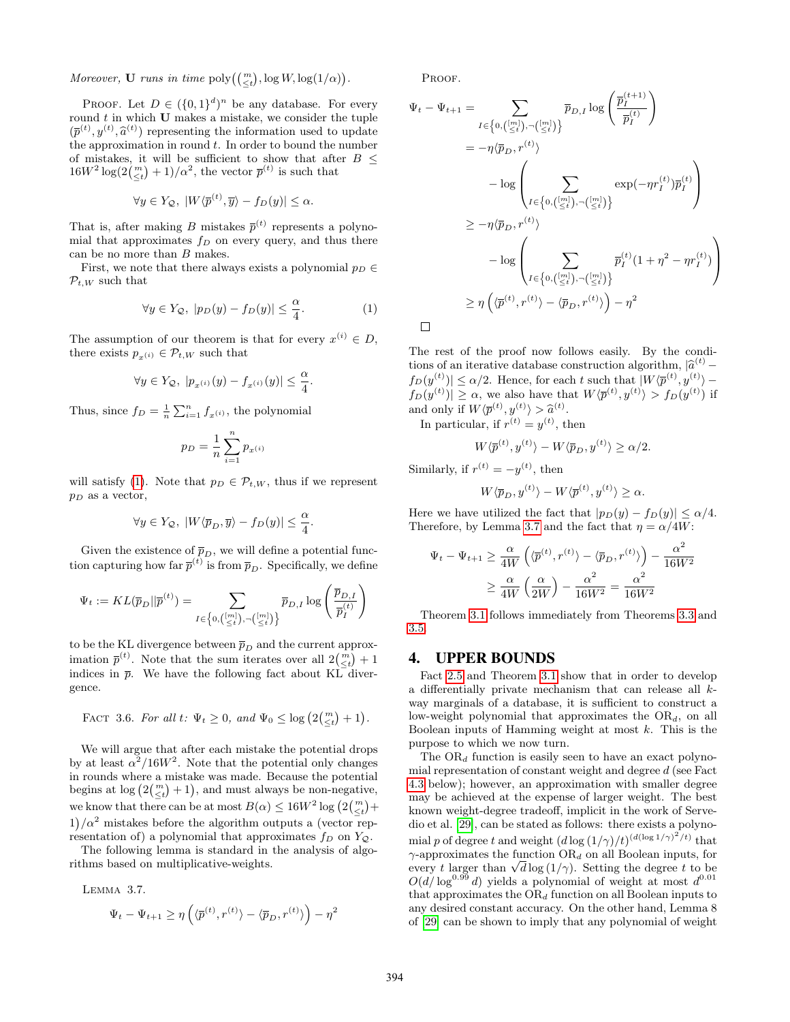Moreover, **U** runs in time  $\text{poly}\left(\binom{m}{\leq t}, \log W, \log(1/\alpha)\right)$ .

PROOF. Let  $D \in (\{0,1\}^d)^n$  be any database. For every round  $t$  in which  $U$  makes a mistake, we consider the tuple  $(\bar{p}^{(t)}, y^{(t)}, \hat{a}^{(t)})$  representing the information used to update<br>the approximation in round t. In order to bound the number the approximation in round  $t$ . In order to bound the number of mistakes, it will be sufficient to show that after  $B$   $\leq$  $16W^2 \log(2(\frac{m}{\leq t}) + 1)/\alpha^2$ , the vector  $\bar{p}^{(t)}$  is such that

$$
\forall y \in Y_{\mathcal{Q}}, \ |W\langle \overline{p}^{(t)}, \overline{y}\rangle - f_D(y)| \leq \alpha.
$$

That is, after making B mistakes  $\bar{p}^{(t)}$  represents a polynomial that approximates  $f_D$  on every query, and thus there can be no more than  $B$  makes.

First, we note that there always exists a polynomial  $p_D \in$  $\mathcal{P}_{t,W}$  such that

<span id="page-7-1"></span>
$$
\forall y \in Y_{\mathcal{Q}}, \ |p_D(y) - f_D(y)| \leq \frac{\alpha}{4}.\tag{1}
$$

The assumption of our theorem is that for every  $x^{(i)} \in D$ , there exists  $p_{x^{(i)}} \in \mathcal{P}_{t,W}$  such that

$$
\forall y \in Y_{\mathcal{Q}}, \ |p_{x^{(i)}}(y) - f_{x^{(i)}}(y)| \leq \frac{\alpha}{4}.
$$

Thus, since  $f_D = \frac{1}{n} \sum_{i=1}^n f_{x^{(i)}}$ , the polynomial

$$
p_D = \frac{1}{n} \sum_{i=1}^n p_{x^{(i)}}
$$

will satisfy [\(1\)](#page-7-1). Note that  $p_D \in \mathcal{P}_{t,W}$ , thus if we represent  $p_D$  as a vector,

$$
\forall y\in Y_\mathcal Q,\ |W\langle \overline{p}_D,\overline{y}\rangle-f_D(y)|\leq \frac{\alpha}{4}.
$$

Given the existence of  $\bar{p}_D$ , we will define a potential function capturing how far  $\bar{p}^{(t)}$  is from  $\bar{p}_D$ . Specifically, we define

$$
\Psi_t:=KL(\overline{p}_D||\overline{p}^{(t)})=\sum_{I\in\left\{0,\binom{[m]}{\leq t},\neg\binom{[m]}{\leq t}\right\}}\overline{p}_{D,I}\log\left(\frac{\overline{p}_{D,I}}{\overline{p}_I^{(t)}}\right)
$$

to be the KL divergence between  $\overline{p}_D$  and the current approximation  $\bar{p}^{(t)}$ . Note that the sum iterates over all  $2\binom{m}{\leq t}+1$ indices in  $\bar{p}$ . We have the following fact about KL divergence.

FACT 3.6. For all 
$$
t: \Psi_t \geq 0
$$
, and  $\Psi_0 \leq \log (2\binom{m}{\leq t} + 1)$ .

We will argue that after each mistake the potential drops by at least  $\alpha^2/16W^2$ . Note that the potential only changes in rounds where a mistake was made. Because the potential begins at  $\log\left(2\binom{m}{\leq t}+1\right)$ , and must always be non-negative, we know that there can be at most  $B(\alpha) \leq 16W^2 \log (2(\frac{m}{\leq t}) +$  $1/\alpha^2$  mistakes before the algorithm outputs a (vector representation of) a polynomial that approximates  $f_D$  on  $Y_Q$ .

The following lemma is standard in the analysis of algorithms based on multiplicative-weights.

Lemma 3.7.

$$
\Psi_t - \Psi_{t+1} \ge \eta\left(\langle \overline{p}^{(t)}, r^{(t)} \rangle - \langle \overline{p}_D, r^{(t)} \rangle \right) - \eta^2
$$

PROOF.

$$
\Psi_t - \Psi_{t+1} = \sum_{I \in \left\{0, \binom{[m]}{\leq t}, -\binom{[m]}{\leq t}\right\}} \overline{p}_{D,I} \log \left( \frac{\overline{p}_I^{(t+1)}}{\overline{p}_I^{(t)}} \right)
$$
\n
$$
= -\eta \langle \overline{p}_D, r^{(t)} \rangle
$$
\n
$$
- \log \left( \sum_{I \in \left\{0, \binom{[m]}{\leq t}, -\binom{[m]}{\leq t}\right\}} \exp(-\eta r_I^{(t)}) \overline{p}_I^{(t)} \right)
$$
\n
$$
\geq -\eta \langle \overline{p}_D, r^{(t)} \rangle
$$
\n
$$
- \log \left( \sum_{I \in \left\{0, \binom{[m]}{\leq t}, -\binom{[m]}{\leq t}\right\}} \overline{p}_I^{(t)} \left(1 + \eta^2 - \eta r_I^{(t)}\right) \right)
$$
\n
$$
\geq \eta \left( \langle \overline{p}^{(t)}, r^{(t)} \rangle - \langle \overline{p}_D, r^{(t)} \rangle \right) - \eta^2
$$

The rest of the proof now follows easily. By the conditions of an iterative database construction algorithm,  $|\hat{a}^{(t)} |f_D(y^{(t)})| \leq \alpha/2$ . Hence, for each t such that  $|W(\overline{p}^{(t)}, y^{(t)}) |f_D(y^{(t)})| \geq \alpha$ , we also have that  $W \langle \overline{p}^{(t)}, y^{(t)} \rangle > f_D(y^{(t)})$  if and only if  $W\langle \overline{p}^{(t)}, y^{(t)} \rangle > \hat{a}^{(t)}$ .<br>
In particular, if  $p^{(t)}(t) = p(t+1)$ 

In particular, if  $r^{(t)} = y^{(t)}$ , then

$$
W\langle \overline{p}^{(t)}, y^{(t)} \rangle - W\langle \overline{p}_D, y^{(t)} \rangle \ge \alpha/2.
$$

Similarly, if  $r^{(t)} = -y^{(t)}$ , then

$$
W\langle \overline{p}_D, y^{(t)}\rangle - W\langle \overline{p}^{(t)}, y^{(t)}\rangle \ge \alpha.
$$

Here we have utilized the fact that  $|p_D(y) - f_D(y)| \le \alpha/4$ . Therefore, by Lemma [3.7](#page-7-2) and the fact that  $\eta = \alpha/4W$ :

$$
\Psi_t - \Psi_{t+1} \ge \frac{\alpha}{4W} \left( \langle \overline{p}^{(t)}, r^{(t)} \rangle - \langle \overline{p}_D, r^{(t)} \rangle \right) - \frac{\alpha^2}{16W^2}
$$

$$
\ge \frac{\alpha}{4W} \left( \frac{\alpha}{2W} \right) - \frac{\alpha^2}{16W^2} = \frac{\alpha^2}{16W^2}
$$

Theorem [3.1](#page-5-1) follows immediately from Theorems [3.3](#page-6-1) and [3.5.](#page-6-2)

## <span id="page-7-0"></span>4. UPPER BOUNDS

Fact [2.5](#page-5-2) and Theorem [3.1](#page-5-1) show that in order to develop a differentially private mechanism that can release all kway marginals of a database, it is sufficient to construct a low-weight polynomial that approximates the  $OR_d$ , on all Boolean inputs of Hamming weight at most  $k$ . This is the purpose to which we now turn.

<span id="page-7-2"></span>The  $OR_d$  function is easily seen to have an exact polynomial representation of constant weight and degree d (see Fact [4.3](#page-8-0) below); however, an approximation with smaller degree may be achieved at the expense of larger weight. The best known weight-degree tradeoff, implicit in the work of Servedio et al. [\[29\]](#page-14-8), can be stated as follows: there exists a polynomial p of degree t and weight  $(d \log (1/\gamma)/t)^{(d (\log 1/\gamma)^2/t)}$  that  $\gamma$ -approximates the function OR<sub>d</sub> on all Boolean inputs, for  $\gamma$ -approximates the function OR<sub>d</sub> on all Boolean inputs, for<br>every t larger than  $\sqrt{d} \log(1/\gamma)$ . Setting the degree t to be  $O(d/\log^{0.99} d)$  yields a polynomial of weight at most  $d^{0.01}$ that approximates the  $OR_d$  function on all Boolean inputs to any desired constant accuracy. On the other hand, Lemma 8 of [\[29\]](#page-14-8) can be shown to imply that any polynomial of weight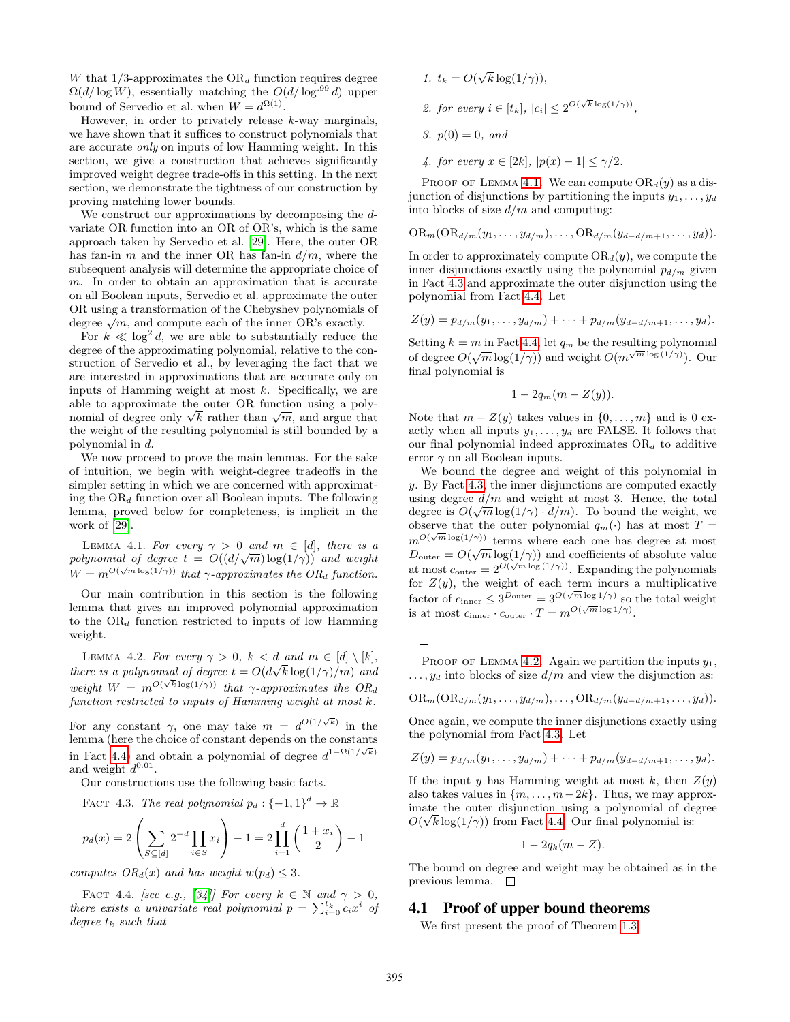W that  $1/3$ -approximates the  $OR_d$  function requires degree  $\Omega(d/\log W)$ , essentially matching the  $O(d/\log^{.99} d)$  upper bound of Servedio et al. when  $W = d^{\Omega(1)}$ .

However, in order to privately release  $k$ -way marginals, we have shown that it suffices to construct polynomials that are accurate only on inputs of low Hamming weight. In this section, we give a construction that achieves significantly improved weight degree trade-offs in this setting. In the next section, we demonstrate the tightness of our construction by proving matching lower bounds.

We construct our approximations by decomposing the dvariate OR function into an OR of OR's, which is the same approach taken by Servedio et al. [\[29\]](#page-14-8). Here, the outer OR has fan-in m and the inner OR has fan-in  $d/m$ , where the subsequent analysis will determine the appropriate choice of m. In order to obtain an approximation that is accurate on all Boolean inputs, Servedio et al. approximate the outer OR using a transformation of the Chebyshev polynomials of OR using a transformation of the Chebyshev polynomials degree  $\sqrt{m}$ , and compute each of the inner OR's exactly.

For  $k \ll \log^2 d$ , we are able to substantially reduce the degree of the approximating polynomial, relative to the construction of Servedio et al., by leveraging the fact that we are interested in approximations that are accurate only on inputs of Hamming weight at most  $k$ . Specifically, we are able to approximate the outer OR function using a polyable to approximate the outer OR function using a polynomial of degree only  $\sqrt{k}$  rather than  $\sqrt{m}$ , and argue that the weight of the resulting polynomial is still bounded by a polynomial in d.

We now proceed to prove the main lemmas. For the sake of intuition, we begin with weight-degree tradeoffs in the simpler setting in which we are concerned with approximating the  $OR_d$  function over all Boolean inputs. The following lemma, proved below for completeness, is implicit in the work of [\[29\]](#page-14-8).

<span id="page-8-2"></span>LEMMA 4.1. For every  $\gamma > 0$  and  $m \in [d]$ , there is a LEMMA 4.1. For every  $\gamma > 0$  and  $m \in [a]$ , there is a<br>polynomial of degree  $t = O((d/\sqrt{m})\log(1/\gamma))$  and weight  $W = m^{O(\sqrt{m} \log(1/\gamma))}$  that  $\gamma$ -approximates the OR<sub>d</sub> function.

Our main contribution in this section is the following lemma that gives an improved polynomial approximation to the  $OR_d$  function restricted to inputs of low Hamming weight.

<span id="page-8-3"></span>LEMMA 4.2. For every  $\gamma > 0$ ,  $k < d$  and  $m \in [d] \setminus [k]$ , there is a polynomial of degree  $t = O(d\sqrt{k \log(1/\gamma)/m})$  and weight  $W = m^{O(\sqrt{k} \log(1/\gamma))}$  that  $\gamma$ -approximates the ORd function restricted to inputs of Hamming weight at most k.

For any constant  $\gamma$ , one may take  $m = d^{O(1/\sqrt{k})}$  in the lemma (here the choice of constant depends on the constants in Fact [4.4\)](#page-8-1) and obtain a polynomial of degree  $d^{1-\Omega(1/\sqrt{k})}$ and weight  $d^{0.01}$ .

Our constructions use the following basic facts.

FACT 4.3. The real polynomial  $p_d: \{-1,1\}^d \to \mathbb{R}$ 

$$
p_d(x) = 2\left(\sum_{S \subseteq [d]} 2^{-d} \prod_{i \in S} x_i\right) - 1 = 2 \prod_{i=1}^d \left(\frac{1 + x_i}{2}\right) - 1
$$

computes  $OR_d(x)$  and has weight  $w(p_d) \leq 3$ .

<span id="page-8-1"></span>FACT 4.4. [see e.g., [\[34\]](#page-14-4)] For every  $k \in \mathbb{N}$  and  $\gamma > 0$ , there exists a univariate real polynomial  $p = \sum_{i=0}^{t_k} c_i x^i$  of degree  $t_{\mathfrak{k}}$  such that

- 1.  $t_k = O(\sqrt{k} \log(1/\gamma)),$ 2. for every  $i \in [t_k]$ ,  $|c_i| \leq 2^{O(\sqrt{k} \log(1/\gamma))}$ , 3.  $p(0) = 0$ , and
- 4. for every  $x \in [2k]$ ,  $|p(x) 1| \leq \gamma/2$ .

PROOF OF LEMMA [4.1.](#page-8-2) We can compute  $OR_d(y)$  as a disjunction of disjunctions by partitioning the inputs  $y_1, \ldots, y_d$ into blocks of size  $d/m$  and computing:

$$
\mathrm{OR}_m(\mathrm{OR}_{d/m}(y_1,\ldots,y_{d/m}),\ldots,\mathrm{OR}_{d/m}(y_{d-d/m+1},\ldots,y_d)).
$$

In order to approximately compute  $OR_d(y)$ , we compute the inner disjunctions exactly using the polynomial  $p_{d/m}$  given in Fact [4.3](#page-8-0) and approximate the outer disjunction using the polynomial from Fact [4.4.](#page-8-1) Let

$$
Z(y) = p_{d/m}(y_1, \ldots, y_{d/m}) + \cdots + p_{d/m}(y_{d-d/m+1}, \ldots, y_d).
$$

Setting  $k = m$  in Fact [4.4,](#page-8-1) let  $q_m$  be the resulting polynomial betting  $\kappa = m$  in Pact 4.4, let  $q_m$  be the resulting polynomial of degree  $O(\sqrt{m} \log(1/\gamma))$  and weight  $O(m^{\sqrt{m} \log(1/\gamma)})$ . Our final polynomial is

$$
1-2q_m(m-Z(y)).
$$

Note that  $m - Z(y)$  takes values in  $\{0, \ldots, m\}$  and is 0 exactly when all inputs  $y_1, \ldots, y_d$  are FALSE. It follows that our final polynomial indeed approximates  $OR_d$  to additive error  $\gamma$  on all Boolean inputs.

We bound the degree and weight of this polynomial in y. By Fact [4.3,](#page-8-0) the inner disjunctions are computed exactly using degree  $d/m$  and weight at most 3. Hence, the total degree is  $O(\sqrt{m} \log(1/\gamma) \cdot d/m)$ . To bound the weight, we observe that the outer polynomial  $q_m(\cdot)$  has at most  $T =$  $m^{O(\sqrt{m}\log(1/\gamma))}$  terms where each one has degree at most  $D_{\text{outer}} = O(\sqrt{m} \log(1/\gamma))$  and coefficients of absolute value  $\frac{20}{\text{other}}$  o  $(\sqrt{n \log(1/\gamma)})$  and coefficients of associate value for  $Z(y)$ , the weight of each term incurs a multiplicative factor of  $c_{\text{inner}} \leq 3^{D_{\text{outer}}} = 3^{O(\sqrt{m} \log 1/\gamma)}$  so the total weight is at most  $c_{\text{inner}} \cdot c_{\text{outer}} \cdot T = m^{O(\sqrt{m} \log 1/\gamma)}$ .

#### $\Box$

PROOF OF LEMMA [4.2.](#page-8-3) Again we partition the inputs  $y_1$ ,  $\dots, y_d$  into blocks of size  $d/m$  and view the disjunction as:

$$
\mathrm{OR}_m(\mathrm{OR}_{d/m}(y_1,\ldots,y_{d/m}),\ldots,\mathrm{OR}_{d/m}(y_{d-d/m+1},\ldots,y_d)).
$$

Once again, we compute the inner disjunctions exactly using the polynomial from Fact [4.3.](#page-8-0) Let

$$
Z(y) = p_{d/m}(y_1, \ldots, y_{d/m}) + \cdots + p_{d/m}(y_{d-d/m+1}, \ldots, y_d).
$$

<span id="page-8-0"></span>If the input y has Hamming weight at most k, then  $Z(y)$ also takes values in  $\{m, \ldots, m-2k\}$ . Thus, we may approximate the outer disjunction using a polynomial of degree √  $O(\sqrt{k} \log(1/\gamma))$  from Fact [4.4.](#page-8-1) Our final polynomial is:

$$
1-2q_k(m-Z).
$$

The bound on degree and weight may be obtained as in the previous lemma.

## 4.1 Proof of upper bound theorems

We first present the proof of Theorem [1.3.](#page-1-0)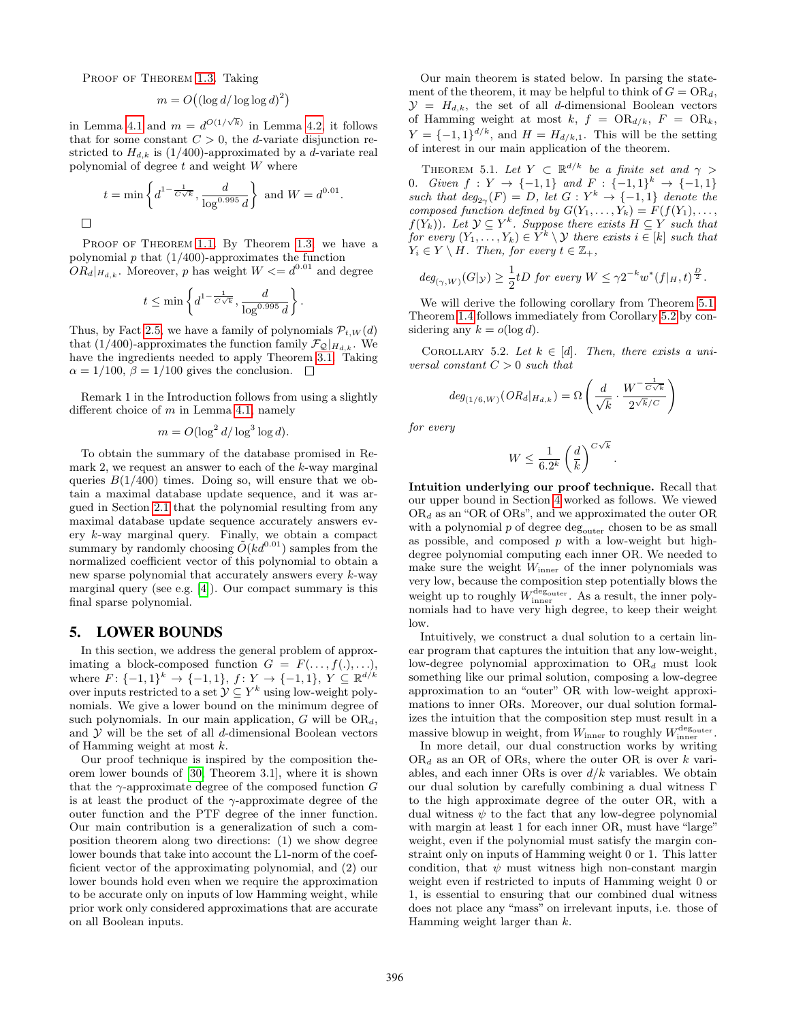PROOF OF THEOREM [1.3.](#page-1-0) Taking

 $\Box$ 

$$
m = O((\log d / \log \log d)^2)
$$

in Lemma [4.1](#page-8-2) and  $m = d^{O(1/\sqrt{k})}$  in Lemma [4.2,](#page-8-3) it follows that for some constant  $C > 0$ , the d-variate disjunction restricted to  $H_{d,k}$  is (1/400)-approximated by a d-variate real polynomial of degree  $t$  and weight  $W$  where

$$
t = \min \left\{ d^{1-\frac{1}{C\sqrt{k}}}, \frac{d}{\log^{0.995} d} \right\}
$$
 and  $W = d^{0.01}$ .

PROOF OF THEOREM [1.1.](#page-1-1) By Theorem [1.3,](#page-1-0) we have a polynomial  $p$  that  $(1/400)$ -approximates the function  $OR_{d}|_{H_{d,k}}$ . Moreover, p has weight  $W \leq d^{0.01}$  and degree

$$
t \le \min\left\{d^{1-\frac{1}{C\sqrt{k}}}, \frac{d}{\log^{0.995}d}\right\}.
$$

Thus, by Fact [2.5,](#page-5-2) we have a family of polynomials  $\mathcal{P}_{t,W}(d)$ that (1/400)-approximates the function family  $\mathcal{F}_{\mathcal{Q}}|_{H_{d,k}}$ . We have the ingredients needed to apply Theorem [3.1.](#page-5-1) Taking  $\alpha = 1/100$ ,  $\beta = 1/100$  gives the conclusion.  $\Box$ 

Remark 1 in the Introduction follows from using a slightly different choice of  $m$  in Lemma [4.1,](#page-8-2) namely

$$
m = O(\log^2 d / \log^3 \log d).
$$

To obtain the summary of the database promised in Remark 2, we request an answer to each of the k-way marginal queries  $B(1/400)$  times. Doing so, will ensure that we obtain a maximal database update sequence, and it was argued in Section [2.1](#page-4-1) that the polynomial resulting from any maximal database update sequence accurately answers every k-way marginal query. Finally, we obtain a compact summary by randomly choosing  $O(Kd^{0.01})$  samples from the normalized coefficient vector of this polynomial to obtain a new sparse polynomial that accurately answers every k-way marginal query (see e.g. [\[4\]](#page-13-14)). Our compact summary is this final sparse polynomial.

#### <span id="page-9-0"></span>5. LOWER BOUNDS

In this section, we address the general problem of approximating a block-composed function  $G = F(\ldots, f(\cdot), \ldots),$ where  $F: \{-1,1\}^k \to \{-1,1\}, f: Y \to \{-1,1\}, Y \subseteq \mathbb{R}^{d/k}$ over inputs restricted to a set  $\mathcal{Y} \subseteq Y^k$  using low-weight polynomials. We give a lower bound on the minimum degree of such polynomials. In our main application,  $G$  will be  $OR_d$ , and  $Y$  will be the set of all  $d$ -dimensional Boolean vectors of Hamming weight at most k.

Our proof technique is inspired by the composition theorem lower bounds of [\[30,](#page-14-10) Theorem 3.1], where it is shown that the  $\gamma$ -approximate degree of the composed function G is at least the product of the  $\gamma$ -approximate degree of the outer function and the PTF degree of the inner function. Our main contribution is a generalization of such a composition theorem along two directions: (1) we show degree lower bounds that take into account the L1-norm of the coefficient vector of the approximating polynomial, and (2) our lower bounds hold even when we require the approximation to be accurate only on inputs of low Hamming weight, while prior work only considered approximations that are accurate on all Boolean inputs.

Our main theorem is stated below. In parsing the statement of the theorem, it may be helpful to think of  $G = OR_d$ ,  $\mathcal{Y} = H_{d,k}$ , the set of all d-dimensional Boolean vectors of Hamming weight at most k,  $f = OR_{d/k}$ ,  $F = OR_k$ ,  $Y = \{-1,1\}^{d/k}$ , and  $H = H_{d/k,1}$ . This will be the setting of interest in our main application of the theorem.

<span id="page-9-1"></span>THEOREM 5.1. Let  $Y \subset \mathbb{R}^{d/k}$  be a finite set and  $\gamma >$ 0. Given  $f: Y \to \{-1,1\}$  and  $F: \{-1,1\}^k \to \{-1,1\}$ such that  $deg_{2\gamma}(F) = D$ , let  $G: Y^k \to \{-1,1\}$  denote the composed function defined by  $G(Y_1, \ldots, Y_k) = F(f(Y_1), \ldots,$  $f(Y_k)$ ). Let  $\mathcal{Y} \subseteq Y^k$ . Suppose there exists  $H \subseteq Y$  such that for every  $(Y_1, \ldots, Y_k) \in Y^k \setminus \mathcal{Y}$  there exists  $i \in [k]$  such that  $Y_i \in Y \setminus H$ . Then, for every  $t \in \mathbb{Z}_+$ ,

$$
deg_{(\gamma,W)}(G|_{\mathcal{Y}}) \geq \frac{1}{2}tD \text{ for every } W \leq \gamma 2^{-k}w^*(f|_H, t)^{\frac{D}{2}}.
$$

We will derive the following corollary from Theorem [5.1.](#page-9-1) Theorem [1.4](#page-2-0) follows immediately from Corollary [5.2](#page-9-2) by considering any  $k = o(\log d)$ .

COROLLARY 5.2. Let  $k \in [d]$ . Then, there exists a universal constant  $C > 0$  such that

<span id="page-9-2"></span>
$$
deg_{(1/6,W)}(OR_{d}|_{H_{d,k}}) = \Omega\left(\frac{d}{\sqrt{k}} \cdot \frac{W^{-\frac{1}{C\sqrt{k}}}}{2^{\sqrt{k}/C}}\right)
$$

for every

$$
W \le \frac{1}{6.2^k} \left(\frac{d}{k}\right)^{C\sqrt{k}}.
$$

Intuition underlying our proof technique. Recall that our upper bound in Section [4](#page-7-0) worked as follows. We viewed  $OR_d$  as an "OR of ORs", and we approximated the outer OR with a polynomial  $p$  of degree  $\deg_{\text{outer}}$  chosen to be as small as possible, and composed  $p$  with a low-weight but highdegree polynomial computing each inner OR. We needed to make sure the weight  $W_{\text{inner}}$  of the inner polynomials was very low, because the composition step potentially blows the weight up to roughly  $W_{\text{inner}}^{\text{deg}_{\text{outer}}}$ . As a result, the inner polynomials had to have very high degree, to keep their weight low.

Intuitively, we construct a dual solution to a certain linear program that captures the intuition that any low-weight, low-degree polynomial approximation to  $OR_d$  must look something like our primal solution, composing a low-degree approximation to an "outer" OR with low-weight approximations to inner ORs. Moreover, our dual solution formalizes the intuition that the composition step must result in a massive blowup in weight, from  $W_{\text{inner}}$  to roughly  $W_{\text{inner}}^{\text{deg}_{\text{outer}}}$ .

In more detail, our dual construction works by writing  $OR_d$  as an OR of ORs, where the outer OR is over k variables, and each inner ORs is over  $d/k$  variables. We obtain our dual solution by carefully combining a dual witness Γ to the high approximate degree of the outer OR, with a dual witness  $\psi$  to the fact that any low-degree polynomial with margin at least 1 for each inner OR, must have "large" weight, even if the polynomial must satisfy the margin constraint only on inputs of Hamming weight 0 or 1. This latter condition, that  $\psi$  must witness high non-constant margin weight even if restricted to inputs of Hamming weight 0 or 1, is essential to ensuring that our combined dual witness does not place any "mass" on irrelevant inputs, i.e. those of Hamming weight larger than k.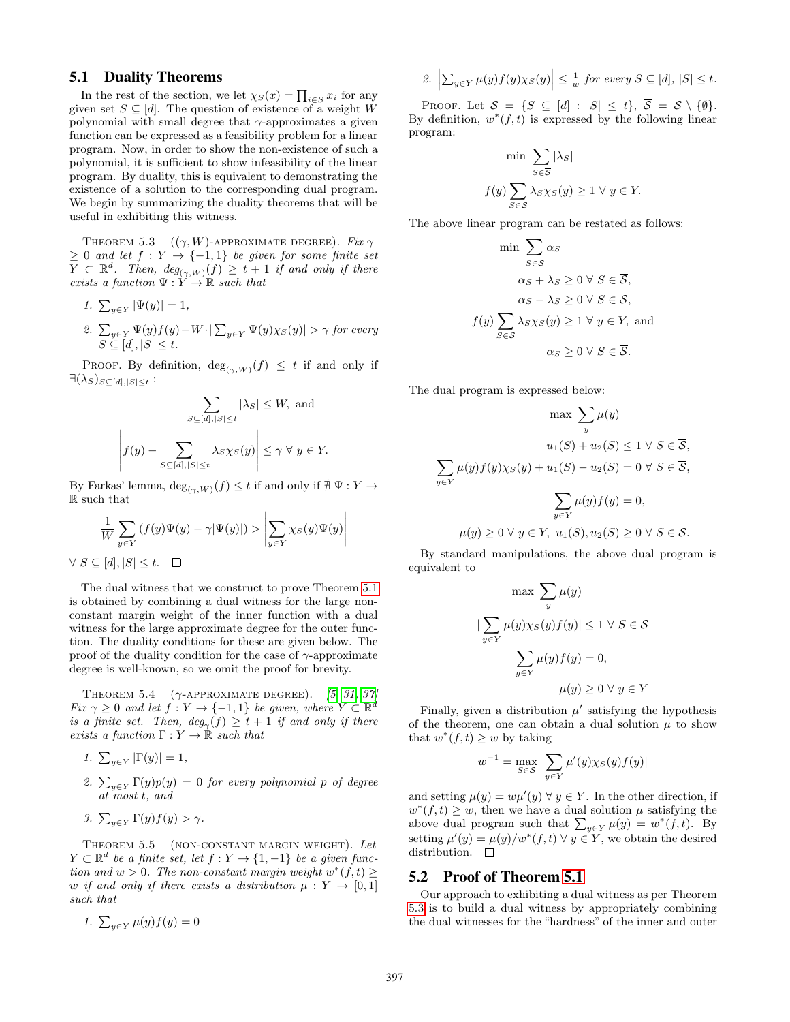### 5.1 Duality Theorems

In the rest of the section, we let  $\chi_S(x) = \prod_{i \in S} x_i$  for any given set  $S \subseteq [d]$ . The question of existence of a weight W polynomial with small degree that  $\gamma$ -approximates a given function can be expressed as a feasibility problem for a linear program. Now, in order to show the non-existence of such a polynomial, it is sufficient to show infeasibility of the linear program. By duality, this is equivalent to demonstrating the existence of a solution to the corresponding dual program. We begin by summarizing the duality theorems that will be useful in exhibiting this witness.

<span id="page-10-0"></span>THEOREM 5.3  $((\gamma, W)$ -APPROXIMATE DEGREE). Fix  $\gamma$  $\geq 0$  and let  $f: Y \to \{-1,1\}$  be given for some finite set  $\overline{Y} \subset \mathbb{R}^d$ . Then,  $deg_{(\gamma,W)}(f) \geq t+1$  if and only if there exists a function  $\Psi: Y \to \mathbb{R}$  such that

1. 
$$
\sum_{y \in Y} |\Psi(y)| = 1
$$
,  
\n2.  $\sum_{y \in Y} \Psi(y) f(y) - W \cdot |\sum_{y \in Y} \Psi(y) \chi_S(y)| > \gamma$  for every  
\n $S \subseteq [d], |S| \le t$ .

PROOF. By definition,  $deg_{(\gamma,W)}(f) \leq t$  if and only if  $\exists(\lambda_S)_{S\subseteq [d],|S|\leq t}$ :

$$
\sum_{S \subseteq [d], |S| \le t} |\lambda_S| \le W, \text{ and}
$$

$$
\left| f(y) - \sum_{S \subseteq [d], |S| \le t} \lambda_S \chi_S(y) \right| \le \gamma \ \forall \ y \in Y.
$$

By Farkas' lemma,  $\deg_{(\gamma,W)}(f) \leq t$  if and only if  $\# \Psi : Y \to Y$ R such that

$$
\frac{1}{W} \sum_{y \in Y} (f(y)\Psi(y) - \gamma |\Psi(y)|) > \left| \sum_{y \in Y} \chi_S(y)\Psi(y) \right|
$$
  

$$
\forall S \subseteq [d], |S| \le t. \quad \Box
$$

The dual witness that we construct to prove Theorem [5.1](#page-9-1) is obtained by combining a dual witness for the large nonconstant margin weight of the inner function with a dual witness for the large approximate degree for the outer function. The duality conditions for these are given below. The proof of the duality condition for the case of  $\gamma$ -approximate degree is well-known, so we omit the proof for brevity.

<span id="page-10-2"></span>THEOREM 5.4  $(\gamma$ -APPROXIMATE DEGREE). [\[5,](#page-13-11) [31,](#page-14-9) [37\]](#page-14-19) Fix  $\gamma \geq 0$  and let  $f: Y \to \{-1,1\}$  be given, where  $Y \subset \mathbb{R}^d$ is a finite set. Then,  $deg_{\gamma}(f) \geq t+1$  if and only if there exists a function  $\Gamma: Y \to \mathbb{R}$  such that

- 1.  $\sum_{y \in Y} |\Gamma(y)| = 1$ ,
- 2.  $\sum_{y \in Y} \Gamma(y)p(y) = 0$  for every polynomial p of degree at most t, and
- 3.  $\sum_{y \in Y} \Gamma(y) f(y) > \gamma$ .

<span id="page-10-1"></span>Theorem 5.5 (non-constant margin weight). Let  $Y \subset \mathbb{R}^d$  be a finite set, let  $f: Y \to \{1, -1\}$  be a given function and  $w > 0$ . The non-constant margin weight  $w^*(f,t) \geq$ w if and only if there exists a distribution  $\mu: Y \to [0,1]$ such that

1.  $\sum_{y \in Y} \mu(y) f(y) = 0$ 

2. 
$$
\left| \sum_{y \in Y} \mu(y) f(y) \chi_S(y) \right| \leq \frac{1}{w}
$$
 for every  $S \subseteq [d], |S| \leq t$ .

PROOF. Let  $S = \{S \subseteq [d] : |S| \le t\}, \overline{S} = S \setminus \{\emptyset\}.$ By definition,  $w^*(f,t)$  is expressed by the following linear program:

$$
\min \sum_{S \in \overline{S}} |\lambda_S|
$$
  

$$
f(y) \sum_{S \in \mathcal{S}} \lambda_S \chi_S(y) \ge 1 \ \forall \ y \in Y.
$$

The above linear program can be restated as follows:

$$
\min \sum_{S \in \overline{S}} \alpha_S
$$

$$
\alpha_S + \lambda_S \ge 0 \ \forall \ S \in \overline{S},
$$

$$
\alpha_S - \lambda_S \ge 0 \ \forall \ S \in \overline{S},
$$

$$
f(y) \sum_{S \in S} \lambda_S \chi_S(y) \ge 1 \ \forall \ y \in Y, \text{ and}
$$

$$
\alpha_S \ge 0 \ \forall \ S \in \overline{S}.
$$

The dual program is expressed below:

$$
\max \sum_{y} \mu(y)
$$

$$
u_1(S) + u_2(S) \le 1 \ \forall \ S \in \overline{S},
$$

$$
\sum_{y \in Y} \mu(y)f(y)\chi_S(y) + u_1(S) - u_2(S) = 0 \ \forall \ S \in \overline{S},
$$

$$
\sum_{y \in Y} \mu(y)f(y) = 0,
$$

$$
\mu(y) \ge 0 \ \forall \ y \in Y, \ u_1(S), u_2(S) \ge 0 \ \forall \ S \in \overline{S}.
$$

By standard manipulations, the above dual program is equivalent to

$$
\max \sum_{y} \mu(y)
$$

$$
\sum_{y \in Y} \mu(y)\chi_S(y)f(y)| \le 1 \ \forall \ S \in \overline{S}
$$

$$
\sum_{y \in Y} \mu(y)f(y) = 0,
$$

$$
\mu(y) \ge 0 \ \forall \ y \in Y
$$

Finally, given a distribution  $\mu'$  satisfying the hypothesis of the theorem, one can obtain a dual solution  $\mu$  to show that  $w^*(f,t) \geq w$  by taking

$$
v^{-1} = \max_{S \in \mathcal{S}} |\sum_{y \in Y} \mu'(y) \chi_S(y) f(y)|
$$

and setting  $\mu(y) = w\mu'(y) \,\forall \, y \in Y$ . In the other direction, if  $w^*(f,t) \geq w$ , then we have a dual solution  $\mu$  satisfying the above dual program such that  $\sum_{y \in Y} \mu(y) = w^*(f, t)$ . By setting  $\mu'(y) = \mu(y)/w^*(f,t)$   $\forall y \in Y$ , we obtain the desired distribution.  $\square$ 

### 5.2 Proof of Theorem [5.1](#page-9-1)

|

 $\iota$ 

Our approach to exhibiting a dual witness as per Theorem [5.3](#page-10-0) is to build a dual witness by appropriately combining the dual witnesses for the "hardness" of the inner and outer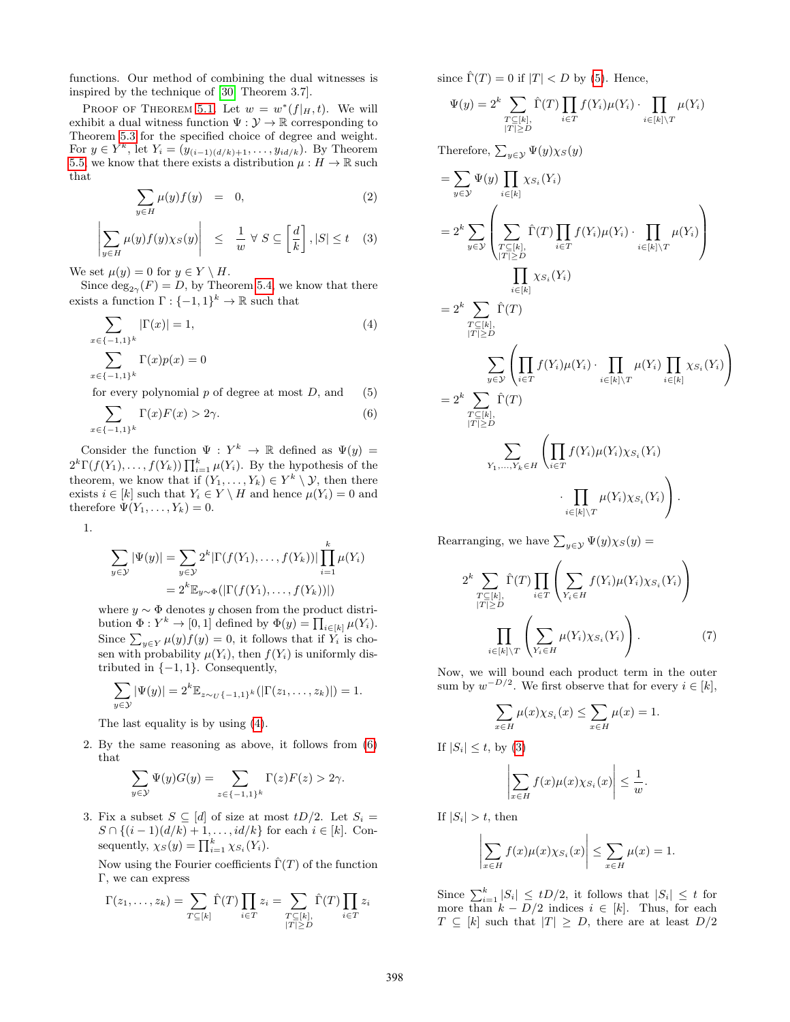functions. Our method of combining the dual witnesses is inspired by the technique of [\[30,](#page-14-10) Theorem 3.7].

PROOF OF THEOREM [5.1.](#page-9-1) Let  $w = w^*(f|_H, t)$ . We will exhibit a dual witness function  $\Psi: \mathcal{Y} \to \mathbb{R}$  corresponding to Theorem [5.3](#page-10-0) for the specified choice of degree and weight. For  $y \in Y^k$ , let  $Y_i = (y_{(i-1)(d/k)+1}, \ldots, y_{id/k})$ . By Theorem [5.5,](#page-10-1) we know that there exists a distribution  $\mu : H \to \mathbb{R}$  such that

<span id="page-11-3"></span>
$$
\sum_{y \in H} \mu(y) f(y) = 0, \tag{2}
$$

$$
\left| \sum_{y \in H} \mu(y) f(y) \chi_S(y) \right| \leq \frac{1}{w} \forall S \subseteq \left[ \frac{d}{k} \right], |S| \leq t \quad (3)
$$

We set  $\mu(y) = 0$  for  $y \in Y \setminus H$ .

Since  $\deg_{2\gamma}(F) = D$ , by Theorem [5.4,](#page-10-2) we know that there exists a function  $\Gamma: \{-1,1\}^k \to \mathbb{R}$  such that

$$
\sum_{x \in \{-1,1\}^k} |\Gamma(x)| = 1,
$$
\n
$$
\sum_{x \in \{-1,1\}^k} |\Gamma(x)| = 0
$$
\n(4)

$$
x \in \{-1,1\}^k
$$

for every polynomial  $p$  of degree at most  $D$ , and (5)

$$
\sum_{x \in \{-1,1\}^k} \Gamma(x) F(x) > 2\gamma. \tag{6}
$$

Consider the function  $\Psi: Y^k \to \mathbb{R}$  defined as  $\Psi(y) =$  $2^k \Gamma(f(Y_1), \ldots, f(Y_k)) \prod_{i=1}^k \mu(Y_i)$ . By the hypothesis of the theorem, we know that if  $(Y_1, \ldots, Y_k) \in Y^k \setminus \mathcal{Y}$ , then there exists  $i \in [k]$  such that  $Y_i \in Y \setminus H$  and hence  $\mu(Y_i) = 0$  and therefore  $\Psi(Y_1,\ldots,Y_k)=0.$ 

1.

$$
\sum_{y \in \mathcal{Y}} |\Psi(y)| = \sum_{y \in \mathcal{Y}} 2^k |\Gamma(f(Y_1), \dots, f(Y_k))| \prod_{i=1}^k \mu(Y_i)
$$
  
=  $2^k \mathbb{E}_{y \sim \Phi}(|\Gamma(f(Y_1), \dots, f(Y_k))|)$ 

where  $y \sim \Phi$  denotes y chosen from the product distribution  $\Phi: Y^k \to [0,1]$  defined by  $\Phi(y) = \prod_{i \in [k]} \mu(Y_i)$ . Since  $\sum_{y \in Y} \mu(y) f(y) = 0$ , it follows that if  $Y_i$  is chosen with probability  $\mu(Y_i)$ , then  $f(Y_i)$  is uniformly distributed in  $\{-1, 1\}$ . Consequently,

$$
\sum_{y \in \mathcal{Y}} |\Psi(y)| = 2^k \mathbb{E}_{z \sim_U \{-1,1\}^k} (|\Gamma(z_1, \ldots, z_k)|) = 1.
$$

The last equality is by using [\(4\)](#page-11-0).

2. By the same reasoning as above, it follows from [\(6\)](#page-11-1) that

$$
\sum_{y \in \mathcal{Y}} \Psi(y) G(y) = \sum_{z \in \{-1,1\}^k} \Gamma(z) F(z) > 2\gamma.
$$

3. Fix a subset  $S \subseteq [d]$  of size at most  $tD/2$ . Let  $S_i =$  $S \cap \{(i-1)(d/k) + 1, \ldots, id/k\}$  for each  $i \in [k]$ . Consequently,  $\chi_S(y) = \prod_{i=1}^k \chi_{S_i}(Y_i)$ .

Now using the Fourier coefficients  $\hat{\Gamma}(T)$  of the function Γ, we can express

$$
\Gamma(z_1,\ldots,z_k) = \sum_{T \subseteq [k]} \hat{\Gamma}(T) \prod_{i \in T} z_i = \sum_{\substack{T \subseteq [k], \\ |T| \ge D}} \hat{\Gamma}(T) \prod_{i \in T} z_i
$$

since  $\hat{\Gamma}(T) = 0$  if  $|T| < D$  by [\(5\)](#page-11-2). Hence,

$$
\Psi(y) = 2^k \sum_{\substack{T \subseteq [k], \\ |T| \ge D}} \hat{\Gamma}(T) \prod_{i \in T} f(Y_i) \mu(Y_i) \cdot \prod_{i \in [k] \setminus T} \mu(Y_i)
$$

Therefore,  $\sum_{y \in \mathcal{Y}} \Psi(y) \chi_S(y)$ 

<span id="page-11-0"></span>
$$
= \sum_{y \in \mathcal{Y}} \Psi(y) \prod_{i \in [k]} \chi_{S_i}(Y_i)
$$
  
\n
$$
= 2^k \sum_{y \in \mathcal{Y}} \left( \sum_{\substack{T \subseteq [k], \\ |T| \ge D}} \hat{\Gamma}(T) \prod_{i \in T} f(Y_i) \mu(Y_i) \cdot \prod_{i \in [k] \setminus T} \mu(Y_i) \right)
$$
  
\n
$$
\prod_{i \in [k]} \chi_{S_i}(Y_i)
$$
  
\n
$$
= 2^k \sum_{y \in \mathcal{Y}} \hat{\Gamma}(T)
$$
  
\n
$$
\sum_{y \in \mathcal{Y}} \left( \prod_{i \in T} f(Y_i) \mu(Y_i) \cdot \prod_{i \in [k] \setminus T} \mu(Y_i) \prod_{i \in [k]} \chi_{S_i}(Y_i) \right)
$$
  
\n
$$
= 2^k \sum_{\substack{T \subseteq [k], \\ |T| \ge D}} \hat{\Gamma}(T)
$$
  
\n
$$
\sum_{\substack{Y_1, \dots, Y_k \in H}} \left( \prod_{i \in T} f(Y_i) \mu(Y_i) \chi_{S_i}(Y_i) \right)
$$
  
\n
$$
\cdot \prod_{i \in [k] \setminus T} \mu(Y_i) \chi_{S_i}(Y_i) \right).
$$

<span id="page-11-2"></span><span id="page-11-1"></span>Rearranging, we have  $\sum_{y \in \mathcal{Y}} \Psi(y) \chi_S(y) =$ 

$$
2^{k} \sum_{\substack{T \subseteq [k], \\ |T| \ge D}} \hat{\Gamma}(T) \prod_{i \in T} \left( \sum_{Y_i \in H} f(Y_i) \mu(Y_i) \chi_{S_i}(Y_i) \right)
$$

$$
\prod_{i \in [k] \setminus T} \left( \sum_{Y_i \in H} \mu(Y_i) \chi_{S_i}(Y_i) \right). \tag{7}
$$

Now, we will bound each product term in the outer sum by  $w^{-D/2}$ . We first observe that for every  $i \in [k]$ ,

$$
\sum_{x \in H} \mu(x) \chi_{S_i}(x) \le \sum_{x \in H} \mu(x) = 1.
$$

If  $|S_i| \leq t$ , by [\(3\)](#page-11-3)

$$
\left|\sum_{x\in H} f(x)\mu(x)\chi_{S_i}(x)\right| \leq \frac{1}{w}.
$$

J.

If  $|S_i| > t$ , then

$$
\left|\sum_{x\in H} f(x)\mu(x)\chi_{S_i}(x)\right| \leq \sum_{x\in H} \mu(x) = 1.
$$

Since  $\sum_{i=1}^k |S_i| \leq tD/2$ , it follows that  $|S_i| \leq t$  for more than  $k - D/2$  indices  $i \in [k]$ . Thus, for each  $T \subseteq [k]$  such that  $|T| \ge D$ , there are at least  $D/2$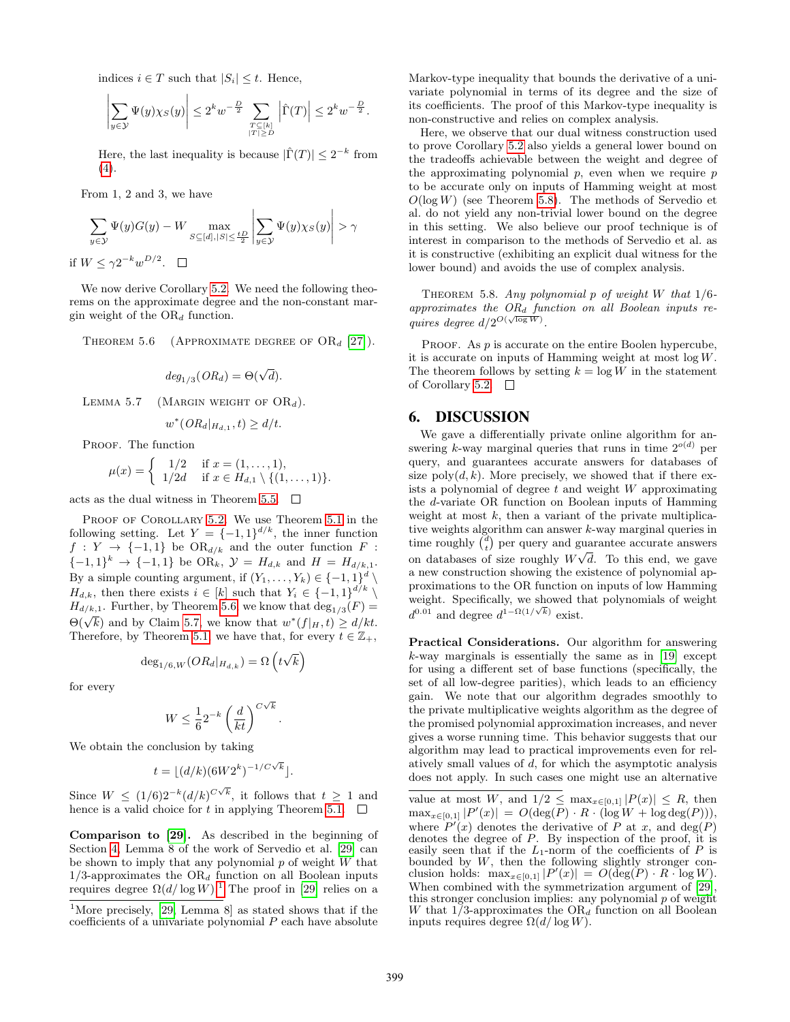indices  $i \in T$  such that  $|S_i| \leq t$ . Hence,

$$
\left|\sum_{y\in\mathcal{Y}}\Psi(y)\chi_S(y)\right|\leq 2^k w^{-\frac{D}{2}}\sum_{\substack{T\subseteq[k] \\ |T|\geq D}}\left|\widehat{\Gamma}(T)\right|\leq 2^k w^{-\frac{D}{2}}.
$$

Here, the last inequality is because  $|\hat{\Gamma}(T)| \leq 2^{-k}$  from  $(4).$  $(4).$ 

From 1, 2 and 3, we have

$$
\sum_{y \in \mathcal{Y}} \Psi(y) G(y) - W \max_{S \subseteq [d], |S| \le \frac{tD}{2}} \left| \sum_{y \in \mathcal{Y}} \Psi(y) \chi_S(y) \right| > \gamma
$$
  
if  $W \le \gamma 2^{-k} w^{D/2}$ .  $\square$ 

We now derive Corollary [5.2.](#page-9-2) We need the following theorems on the approximate degree and the non-constant margin weight of the  $OR_d$  function.

<span id="page-12-0"></span>THEOREM 5.6 (APPROXIMATE DEGREE OF  $OR_d$  [\[27\]](#page-14-20)).

$$
deg_{1/3}(OR_d) = \Theta(\sqrt{d}).
$$

<span id="page-12-1"></span>LEMMA 5.7 (MARGIN WEIGHT OF  $OR_d$ ).

$$
w^*(OR_d|_{H_{d,1}}, t) \ge d/t.
$$

PROOF. The function

$$
\mu(x) = \begin{cases} 1/2 & \text{if } x = (1, \dots, 1), \\ 1/2d & \text{if } x \in H_{d,1} \setminus \{(1, \dots, 1)\}. \end{cases}
$$

acts as the dual witness in Theorem [5.5.](#page-10-1)  $\Box$ 

PROOF OF COROLLARY [5.2.](#page-9-2) We use Theorem [5.1](#page-9-1) in the following setting. Let  $Y = \{-1,1\}^{d/k}$ , the inner function  $f: Y \to \{-1,1\}$  be  $OR_{d/k}$  and the outer function  $F:$  $\{-1,1\}^k \to \{-1,1\}$  be OR<sub>k</sub>,  $\mathcal{Y} = H_{d,k}$  and  $H = H_{d/k,1}$ . By a simple counting argument, if  $(Y_1, \ldots, Y_k) \in \{-1, 1\}^d$  $\setminus$  $H_{d,k}$ , then there exists  $i \in [k]$  such that  $Y_i \in \{-1,1\}^{d/k} \setminus$  $H_{d/k,1}$ . Further, by Theorem [5.6,](#page-12-0) we know that  $\deg_{1/3}(F) =$  $\Theta(\sqrt{k})$  and by Claim [5.7,](#page-12-1) we know that  $w^*(f|_H, t) \ge d/kt$ . Therefore, by Theorem [5.1,](#page-9-1) we have that, for every  $t \in \mathbb{Z}_+$ ,

$$
\deg_{1/6,W}(OR_d|_{H_{d,k}}) = \Omega\left(t\sqrt{k}\right)
$$

for every

$$
W \le \frac{1}{6} 2^{-k} \left(\frac{d}{kt}\right)^{C\sqrt{k}}
$$

.

We obtain the conclusion by taking

$$
t = \lfloor (d/k)(6W2^k)^{-1/C\sqrt{k}} \rfloor.
$$

Since  $W \leq (1/6)2^{-k} (d/k)^{C\sqrt{k}}$ , it follows that  $t \geq 1$  and hence is a valid choice for t in applying Theorem [5.1.](#page-9-1)  $\Box$ 

Comparison to [\[29\]](#page-14-8). As described in the beginning of Section [4,](#page-7-0) Lemma 8 of the work of Servedio et al. [\[29\]](#page-14-8) can be shown to imply that any polynomial  $p$  of weight  $W$  that  $1/3$ -approximates the OR<sub>d</sub> function on all Boolean inputs requires degree  $\Omega(d/\log W)$ .<sup>[1](#page-12-2)</sup> The proof in [\[29\]](#page-14-8) relies on a

Markov-type inequality that bounds the derivative of a univariate polynomial in terms of its degree and the size of its coefficients. The proof of this Markov-type inequality is non-constructive and relies on complex analysis.

Here, we observe that our dual witness construction used to prove Corollary [5.2](#page-9-2) also yields a general lower bound on the tradeoffs achievable between the weight and degree of the approximating polynomial  $p$ , even when we require  $p$ to be accurate only on inputs of Hamming weight at most  $O(\log W)$  (see Theorem [5.8\)](#page-12-3). The methods of Servedio et al. do not yield any non-trivial lower bound on the degree in this setting. We also believe our proof technique is of interest in comparison to the methods of Servedio et al. as it is constructive (exhibiting an explicit dual witness for the lower bound) and avoids the use of complex analysis.

<span id="page-12-3"></span>THEOREM 5.8. Any polynomial  $p$  of weight W that  $1/6$ approximates the  $OR_d$  function on all Boolean inputs requires degree  $d/2^{O(\sqrt{\log W})}$ .

PROOF. As  $p$  is accurate on the entire Boolen hypercube, it is accurate on inputs of Hamming weight at most log W. The theorem follows by setting  $k = \log W$  in the statement of Corollary [5.2.](#page-9-2)  $\Box$ 

### 6. DISCUSSION

We gave a differentially private online algorithm for answering k-way marginal queries that runs in time  $2^{o(d)}$  per query, and guarantees accurate answers for databases of size  $\text{poly}(d, k)$ . More precisely, we showed that if there exists a polynomial of degree  $t$  and weight  $W$  approximating the d-variate OR function on Boolean inputs of Hamming weight at most  $k$ , then a variant of the private multiplicative weights algorithm can answer k-way marginal queries in time roughly  $\begin{pmatrix} d \\ t \end{pmatrix}$  per query and guarantee accurate answers on databases of size roughly  $W\sqrt{d}$ . To this end, we gave a new construction showing the existence of polynomial approximations to the OR function on inputs of low Hamming weight. Specifically, we showed that polynomials of weight  $d^{0.01}$  and degree  $d^{1-\Omega(1/\sqrt{k})}$  exist.

Practical Considerations. Our algorithm for answering  $k$ -way marginals is essentially the same as in [\[19\]](#page-14-1) except for using a different set of base functions (specifically, the set of all low-degree parities), which leads to an efficiency gain. We note that our algorithm degrades smoothly to the private multiplicative weights algorithm as the degree of the promised polynomial approximation increases, and never gives a worse running time. This behavior suggests that our algorithm may lead to practical improvements even for relatively small values of d, for which the asymptotic analysis does not apply. In such cases one might use an alternative

value at most W, and  $1/2 \leq \max_{x \in [0,1]} |P(x)| \leq R$ , then  $\max_{x \in [0,1]} |P'(x)| = O(\deg(P) \cdot R \cdot (\log W + \log \deg(P))),$ where  $P'(x)$  denotes the derivative of P at x, and deg(P) denotes the degree of P. By inspection of the proof, it is easily seen that if the  $L_1$ -norm of the coefficients of  $P$  is bounded by  $W$ , then the following slightly stronger conclusion holds:  $\max_{x \in [0,1]} |P'(x)| = O(\deg(P) \cdot R \cdot \log W).$ When combined with the symmetrization argument of [\[29\]](#page-14-8), this stronger conclusion implies: any polynomial  $p$  of weight W that  $1/3$ -approximates the OR<sub>d</sub> function on all Boolean inputs requires degree  $\Omega(d/\log W)$ .

<span id="page-12-2"></span><sup>&</sup>lt;sup>1</sup>More precisely, [\[29,](#page-14-8) Lemma 8] as stated shows that if the coefficients of a univariate polynomial  $P$  each have absolute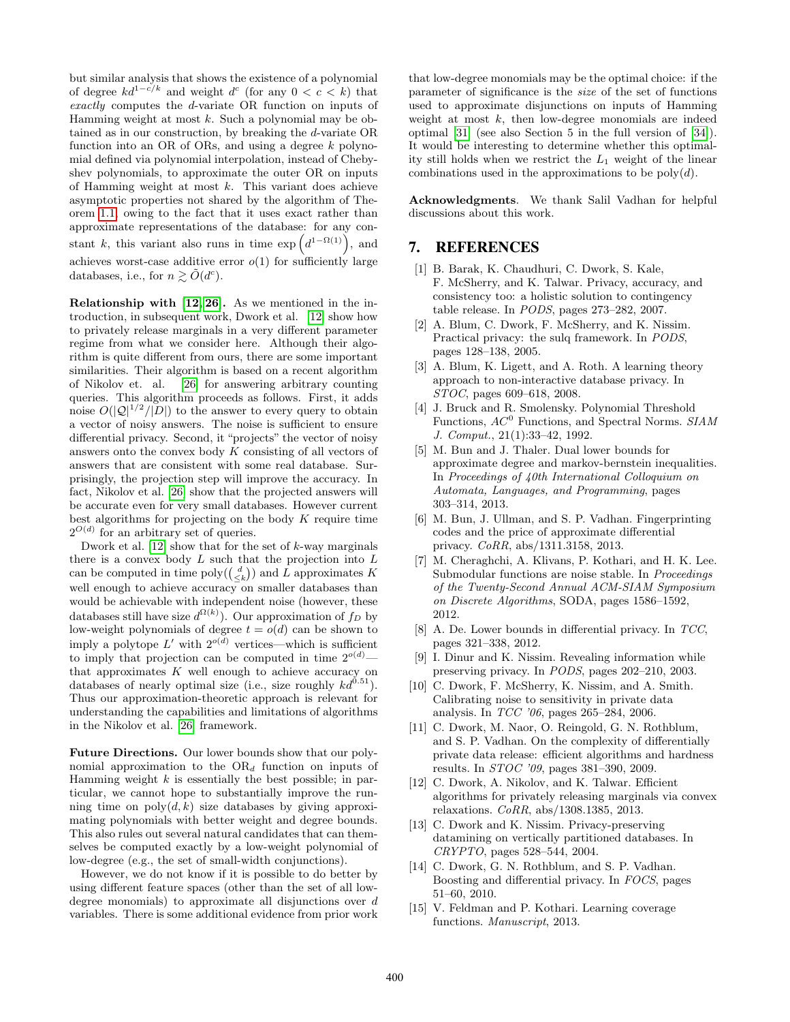but similar analysis that shows the existence of a polynomial of degree  $kd^{1-c/k}$  and weight  $d^c$  (for any  $0 < c < k$ ) that exactly computes the d-variate OR function on inputs of Hamming weight at most  $k$ . Such a polynomial may be obtained as in our construction, by breaking the d-variate OR function into an OR of ORs, and using a degree  $k$  polynomial defined via polynomial interpolation, instead of Chebyshev polynomials, to approximate the outer OR on inputs of Hamming weight at most  $k$ . This variant does achieve asymptotic properties not shared by the algorithm of Theorem [1.1,](#page-1-1) owing to the fact that it uses exact rather than approximate representations of the database: for any constant k, this variant also runs in time  $\exp\left(d^{1-\Omega(1)}\right)$ , and achieves worst-case additive error  $o(1)$  for sufficiently large databases, i.e., for  $n \gtrsim \tilde{O}(d^c)$ .

Relationship with [\[12,](#page-13-7) [26\]](#page-14-21). As we mentioned in the introduction, in subsequent work, Dwork et al. [\[12\]](#page-13-7) show how to privately release marginals in a very different parameter regime from what we consider here. Although their algorithm is quite different from ours, there are some important similarities. Their algorithm is based on a recent algorithm of Nikolov et. al. [\[26\]](#page-14-21) for answering arbitrary counting queries. This algorithm proceeds as follows. First, it adds noise  $O(|\mathcal{Q}|^{1/2}/|\mathcal{D}|)$  to the answer to every query to obtain a vector of noisy answers. The noise is sufficient to ensure differential privacy. Second, it "projects" the vector of noisy answers onto the convex body  $K$  consisting of all vectors of answers that are consistent with some real database. Surprisingly, the projection step will improve the accuracy. In fact, Nikolov et al. [\[26\]](#page-14-21) show that the projected answers will be accurate even for very small databases. However current best algorithms for projecting on the body  $K$  require time  $2^{O(d)}$  for an arbitrary set of queries.

Dwork et al.  $[12]$  show that for the set of k-way marginals there is a convex body  $L$  such that the projection into  $L$ can be computed in time  $\text{poly}(\binom{d}{\leq k})$  and L approximates K well enough to achieve accuracy on smaller databases than would be achievable with independent noise (however, these databases still have size  $d^{\Omega(k)}$ ). Our approximation of  $f_D$  by low-weight polynomials of degree  $t = o(d)$  can be shown to imply a polytope  $L'$  with  $2^{o(d)}$  vertices—which is sufficient to imply that projection can be computed in time  $2^{o(d)}$  that approximates  $K$  well enough to achieve accuracy on databases of nearly optimal size (i.e., size roughly  $kd^{0.51}$ ). Thus our approximation-theoretic approach is relevant for understanding the capabilities and limitations of algorithms in the Nikolov et al. [\[26\]](#page-14-21) framework.

Future Directions. Our lower bounds show that our polynomial approximation to the  $OR_d$  function on inputs of Hamming weight  $k$  is essentially the best possible; in particular, we cannot hope to substantially improve the running time on  $poly(d, k)$  size databases by giving approximating polynomials with better weight and degree bounds. This also rules out several natural candidates that can themselves be computed exactly by a low-weight polynomial of low-degree (e.g., the set of small-width conjunctions).

However, we do not know if it is possible to do better by using different feature spaces (other than the set of all lowdegree monomials) to approximate all disjunctions over d variables. There is some additional evidence from prior work

that low-degree monomials may be the optimal choice: if the parameter of significance is the size of the set of functions used to approximate disjunctions on inputs of Hamming weight at most  $k$ , then low-degree monomials are indeed optimal [\[31\]](#page-14-9) (see also Section 5 in the full version of [\[34\]](#page-14-4)). It would be interesting to determine whether this optimality still holds when we restrict the  $L_1$  weight of the linear combinations used in the approximations to be  $\text{poly}(d)$ .

Acknowledgments. We thank Salil Vadhan for helpful discussions about this work.

# 7. REFERENCES

- <span id="page-13-13"></span>[1] B. Barak, K. Chaudhuri, C. Dwork, S. Kale, F. McSherry, and K. Talwar. Privacy, accuracy, and consistency too: a holistic solution to contingency table release. In PODS, pages 273–282, 2007.
- <span id="page-13-1"></span>[2] A. Blum, C. Dwork, F. McSherry, and K. Nissim. Practical privacy: the sulq framework. In PODS, pages 128–138, 2005.
- <span id="page-13-3"></span>[3] A. Blum, K. Ligett, and A. Roth. A learning theory approach to non-interactive database privacy. In STOC, pages 609–618, 2008.
- <span id="page-13-14"></span>[4] J. Bruck and R. Smolensky. Polynomial Threshold Functions,  $AC^0$  Functions, and Spectral Norms.  $SIAM$ J. Comput., 21(1):33–42, 1992.
- <span id="page-13-11"></span>[5] M. Bun and J. Thaler. Dual lower bounds for approximate degree and markov-bernstein inequalities. In Proceedings of 40th International Colloquium on Automata, Languages, and Programming, pages 303–314, 2013.
- <span id="page-13-9"></span>[6] M. Bun, J. Ullman, and S. P. Vadhan. Fingerprinting codes and the price of approximate differential privacy. CoRR, abs/1311.3158, 2013.
- <span id="page-13-6"></span>[7] M. Cheraghchi, A. Klivans, P. Kothari, and H. K. Lee. Submodular functions are noise stable. In Proceedings of the Twenty-Second Annual ACM-SIAM Symposium on Discrete Algorithms, SODA, pages 1586–1592, 2012.
- <span id="page-13-12"></span>[8] A. De. Lower bounds in differential privacy. In TCC, pages 321–338, 2012.
- <span id="page-13-2"></span>[9] I. Dinur and K. Nissim. Revealing information while preserving privacy. In PODS, pages 202–210, 2003.
- <span id="page-13-0"></span>[10] C. Dwork, F. McSherry, K. Nissim, and A. Smith. Calibrating noise to sensitivity in private data analysis. In TCC '06, pages 265–284, 2006.
- <span id="page-13-4"></span>[11] C. Dwork, M. Naor, O. Reingold, G. N. Rothblum, and S. P. Vadhan. On the complexity of differentially private data release: efficient algorithms and hardness results. In STOC '09, pages 381–390, 2009.
- <span id="page-13-7"></span>[12] C. Dwork, A. Nikolov, and K. Talwar. Efficient algorithms for privately releasing marginals via convex relaxations. CoRR, abs/1308.1385, 2013.
- <span id="page-13-10"></span>[13] C. Dwork and K. Nissim. Privacy-preserving datamining on vertically partitioned databases. In CRYPTO, pages 528–544, 2004.
- <span id="page-13-5"></span>[14] C. Dwork, G. N. Rothblum, and S. P. Vadhan. Boosting and differential privacy. In FOCS, pages 51–60, 2010.
- <span id="page-13-8"></span>[15] V. Feldman and P. Kothari. Learning coverage functions. Manuscript, 2013.